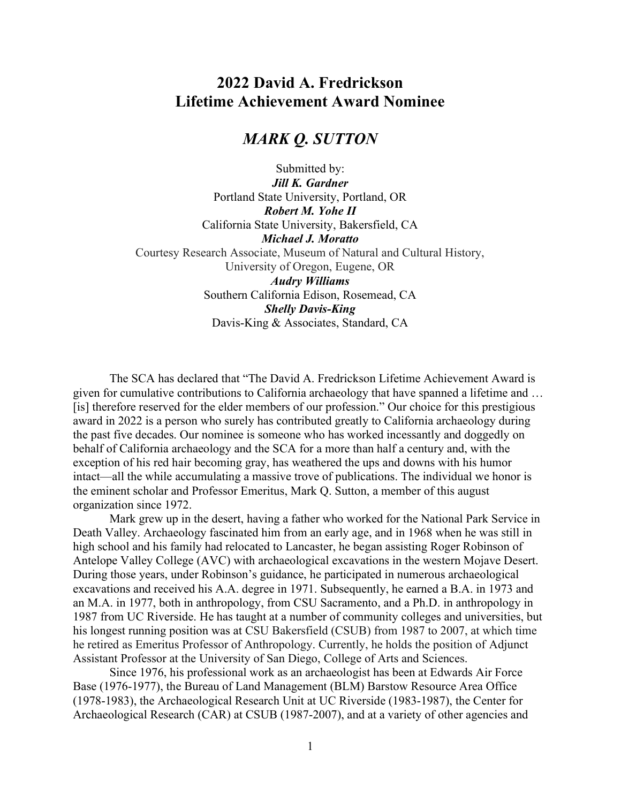# 2022 David A. Fredrickson Lifetime Achievement Award Nominee

# MARK Q. SUTTON

Submitted by: Jill K. Gardner Portland State University, Portland, OR Robert M. Yohe II California State University, Bakersfield, CA Michael J. Moratto Courtesy Research Associate, Museum of Natural and Cultural History, University of Oregon, Eugene, OR Audry Williams Southern California Edison, Rosemead, CA Shelly Davis-King Davis-King & Associates, Standard, CA

The SCA has declared that "The David A. Fredrickson Lifetime Achievement Award is given for cumulative contributions to California archaeology that have spanned a lifetime and … [is] therefore reserved for the elder members of our profession." Our choice for this prestigious award in 2022 is a person who surely has contributed greatly to California archaeology during the past five decades. Our nominee is someone who has worked incessantly and doggedly on behalf of California archaeology and the SCA for a more than half a century and, with the exception of his red hair becoming gray, has weathered the ups and downs with his humor intact—all the while accumulating a massive trove of publications. The individual we honor is the eminent scholar and Professor Emeritus, Mark Q. Sutton, a member of this august organization since 1972.

Mark grew up in the desert, having a father who worked for the National Park Service in Death Valley. Archaeology fascinated him from an early age, and in 1968 when he was still in high school and his family had relocated to Lancaster, he began assisting Roger Robinson of Antelope Valley College (AVC) with archaeological excavations in the western Mojave Desert. During those years, under Robinson's guidance, he participated in numerous archaeological excavations and received his A.A. degree in 1971. Subsequently, he earned a B.A. in 1973 and an M.A. in 1977, both in anthropology, from CSU Sacramento, and a Ph.D. in anthropology in 1987 from UC Riverside. He has taught at a number of community colleges and universities, but his longest running position was at CSU Bakersfield (CSUB) from 1987 to 2007, at which time he retired as Emeritus Professor of Anthropology. Currently, he holds the position of Adjunct Assistant Professor at the University of San Diego, College of Arts and Sciences.

Since 1976, his professional work as an archaeologist has been at Edwards Air Force Base (1976-1977), the Bureau of Land Management (BLM) Barstow Resource Area Office (1978-1983), the Archaeological Research Unit at UC Riverside (1983-1987), the Center for Archaeological Research (CAR) at CSUB (1987-2007), and at a variety of other agencies and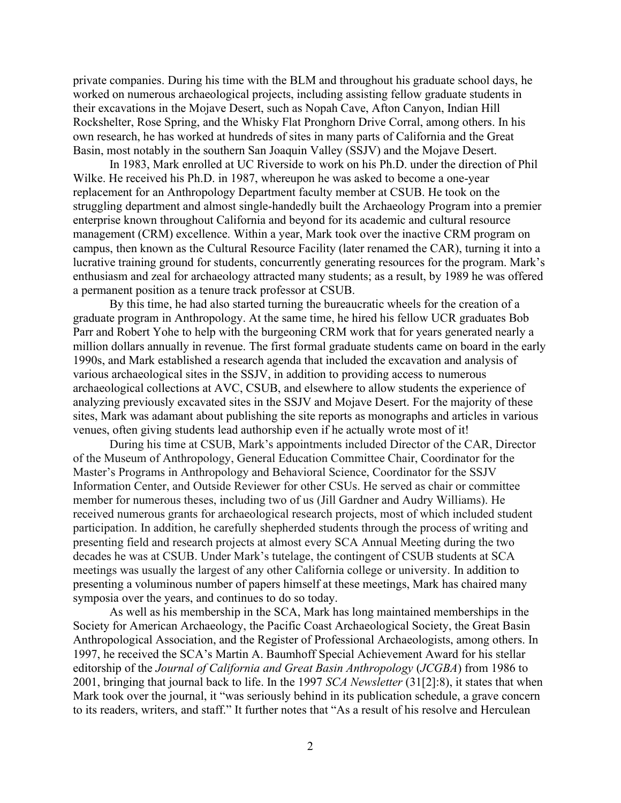private companies. During his time with the BLM and throughout his graduate school days, he worked on numerous archaeological projects, including assisting fellow graduate students in their excavations in the Mojave Desert, such as Nopah Cave, Afton Canyon, Indian Hill Rockshelter, Rose Spring, and the Whisky Flat Pronghorn Drive Corral, among others. In his own research, he has worked at hundreds of sites in many parts of California and the Great Basin, most notably in the southern San Joaquin Valley (SSJV) and the Mojave Desert.

In 1983, Mark enrolled at UC Riverside to work on his Ph.D. under the direction of Phil Wilke. He received his Ph.D. in 1987, whereupon he was asked to become a one-year replacement for an Anthropology Department faculty member at CSUB. He took on the struggling department and almost single-handedly built the Archaeology Program into a premier enterprise known throughout California and beyond for its academic and cultural resource management (CRM) excellence. Within a year, Mark took over the inactive CRM program on campus, then known as the Cultural Resource Facility (later renamed the CAR), turning it into a lucrative training ground for students, concurrently generating resources for the program. Mark's enthusiasm and zeal for archaeology attracted many students; as a result, by 1989 he was offered a permanent position as a tenure track professor at CSUB.

By this time, he had also started turning the bureaucratic wheels for the creation of a graduate program in Anthropology. At the same time, he hired his fellow UCR graduates Bob Parr and Robert Yohe to help with the burgeoning CRM work that for years generated nearly a million dollars annually in revenue. The first formal graduate students came on board in the early 1990s, and Mark established a research agenda that included the excavation and analysis of various archaeological sites in the SSJV, in addition to providing access to numerous archaeological collections at AVC, CSUB, and elsewhere to allow students the experience of analyzing previously excavated sites in the SSJV and Mojave Desert. For the majority of these sites, Mark was adamant about publishing the site reports as monographs and articles in various venues, often giving students lead authorship even if he actually wrote most of it!

During his time at CSUB, Mark's appointments included Director of the CAR, Director of the Museum of Anthropology, General Education Committee Chair, Coordinator for the Master's Programs in Anthropology and Behavioral Science, Coordinator for the SSJV Information Center, and Outside Reviewer for other CSUs. He served as chair or committee member for numerous theses, including two of us (Jill Gardner and Audry Williams). He received numerous grants for archaeological research projects, most of which included student participation. In addition, he carefully shepherded students through the process of writing and presenting field and research projects at almost every SCA Annual Meeting during the two decades he was at CSUB. Under Mark's tutelage, the contingent of CSUB students at SCA meetings was usually the largest of any other California college or university. In addition to presenting a voluminous number of papers himself at these meetings, Mark has chaired many symposia over the years, and continues to do so today.

As well as his membership in the SCA, Mark has long maintained memberships in the Society for American Archaeology, the Pacific Coast Archaeological Society, the Great Basin Anthropological Association, and the Register of Professional Archaeologists, among others. In 1997, he received the SCA's Martin A. Baumhoff Special Achievement Award for his stellar editorship of the Journal of California and Great Basin Anthropology (JCGBA) from 1986 to 2001, bringing that journal back to life. In the 1997 SCA Newsletter (31[2]:8), it states that when Mark took over the journal, it "was seriously behind in its publication schedule, a grave concern to its readers, writers, and staff." It further notes that "As a result of his resolve and Herculean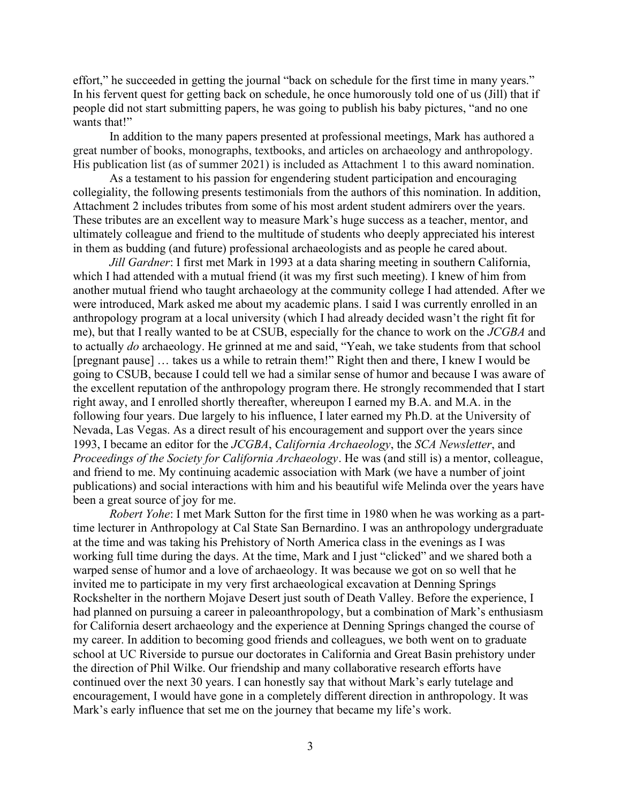effort," he succeeded in getting the journal "back on schedule for the first time in many years." In his fervent quest for getting back on schedule, he once humorously told one of us (Jill) that if people did not start submitting papers, he was going to publish his baby pictures, "and no one wants that!"

In addition to the many papers presented at professional meetings, Mark has authored a great number of books, monographs, textbooks, and articles on archaeology and anthropology. His publication list (as of summer 2021) is included as Attachment 1 to this award nomination.

As a testament to his passion for engendering student participation and encouraging collegiality, the following presents testimonials from the authors of this nomination. In addition, Attachment 2 includes tributes from some of his most ardent student admirers over the years. These tributes are an excellent way to measure Mark's huge success as a teacher, mentor, and ultimately colleague and friend to the multitude of students who deeply appreciated his interest in them as budding (and future) professional archaeologists and as people he cared about.

Jill Gardner: I first met Mark in 1993 at a data sharing meeting in southern California, which I had attended with a mutual friend (it was my first such meeting). I knew of him from another mutual friend who taught archaeology at the community college I had attended. After we were introduced, Mark asked me about my academic plans. I said I was currently enrolled in an anthropology program at a local university (which I had already decided wasn't the right fit for me), but that I really wanted to be at CSUB, especially for the chance to work on the JCGBA and to actually do archaeology. He grinned at me and said, "Yeah, we take students from that school [pregnant pause] … takes us a while to retrain them!" Right then and there, I knew I would be going to CSUB, because I could tell we had a similar sense of humor and because I was aware of the excellent reputation of the anthropology program there. He strongly recommended that I start right away, and I enrolled shortly thereafter, whereupon I earned my B.A. and M.A. in the following four years. Due largely to his influence, I later earned my Ph.D. at the University of Nevada, Las Vegas. As a direct result of his encouragement and support over the years since 1993, I became an editor for the JCGBA, California Archaeology, the SCA Newsletter, and Proceedings of the Society for California Archaeology. He was (and still is) a mentor, colleague, and friend to me. My continuing academic association with Mark (we have a number of joint publications) and social interactions with him and his beautiful wife Melinda over the years have been a great source of joy for me.

Robert Yohe: I met Mark Sutton for the first time in 1980 when he was working as a parttime lecturer in Anthropology at Cal State San Bernardino. I was an anthropology undergraduate at the time and was taking his Prehistory of North America class in the evenings as I was working full time during the days. At the time, Mark and I just "clicked" and we shared both a warped sense of humor and a love of archaeology. It was because we got on so well that he invited me to participate in my very first archaeological excavation at Denning Springs Rockshelter in the northern Mojave Desert just south of Death Valley. Before the experience, I had planned on pursuing a career in paleoanthropology, but a combination of Mark's enthusiasm for California desert archaeology and the experience at Denning Springs changed the course of my career. In addition to becoming good friends and colleagues, we both went on to graduate school at UC Riverside to pursue our doctorates in California and Great Basin prehistory under the direction of Phil Wilke. Our friendship and many collaborative research efforts have continued over the next 30 years. I can honestly say that without Mark's early tutelage and encouragement, I would have gone in a completely different direction in anthropology. It was Mark's early influence that set me on the journey that became my life's work.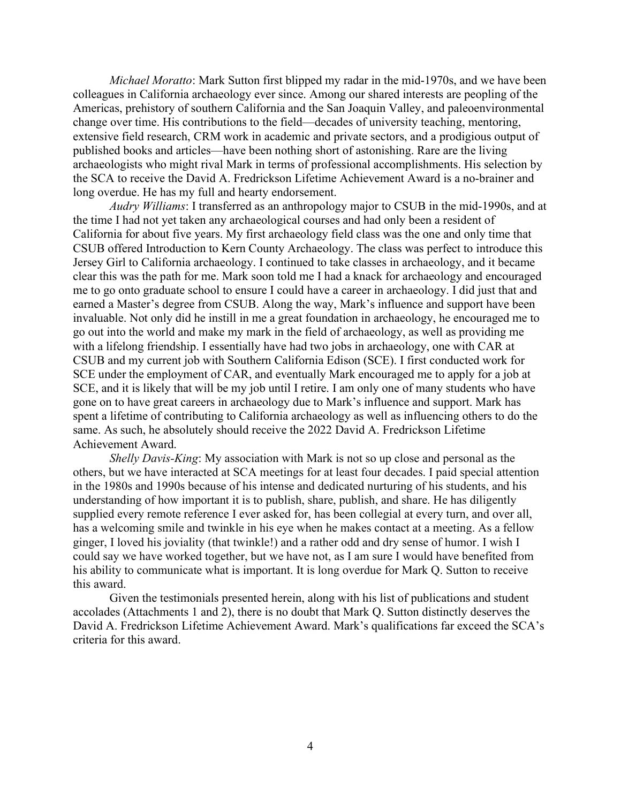Michael Moratto: Mark Sutton first blipped my radar in the mid-1970s, and we have been colleagues in California archaeology ever since. Among our shared interests are peopling of the Americas, prehistory of southern California and the San Joaquin Valley, and paleoenvironmental change over time. His contributions to the field—decades of university teaching, mentoring, extensive field research, CRM work in academic and private sectors, and a prodigious output of published books and articles—have been nothing short of astonishing. Rare are the living archaeologists who might rival Mark in terms of professional accomplishments. His selection by the SCA to receive the David A. Fredrickson Lifetime Achievement Award is a no-brainer and long overdue. He has my full and hearty endorsement.

Audry Williams: I transferred as an anthropology major to CSUB in the mid-1990s, and at the time I had not yet taken any archaeological courses and had only been a resident of California for about five years. My first archaeology field class was the one and only time that CSUB offered Introduction to Kern County Archaeology. The class was perfect to introduce this Jersey Girl to California archaeology. I continued to take classes in archaeology, and it became clear this was the path for me. Mark soon told me I had a knack for archaeology and encouraged me to go onto graduate school to ensure I could have a career in archaeology. I did just that and earned a Master's degree from CSUB. Along the way, Mark's influence and support have been invaluable. Not only did he instill in me a great foundation in archaeology, he encouraged me to go out into the world and make my mark in the field of archaeology, as well as providing me with a lifelong friendship. I essentially have had two jobs in archaeology, one with CAR at CSUB and my current job with Southern California Edison (SCE). I first conducted work for SCE under the employment of CAR, and eventually Mark encouraged me to apply for a job at SCE, and it is likely that will be my job until I retire. I am only one of many students who have gone on to have great careers in archaeology due to Mark's influence and support. Mark has spent a lifetime of contributing to California archaeology as well as influencing others to do the same. As such, he absolutely should receive the 2022 David A. Fredrickson Lifetime Achievement Award.

Shelly Davis-King: My association with Mark is not so up close and personal as the others, but we have interacted at SCA meetings for at least four decades. I paid special attention in the 1980s and 1990s because of his intense and dedicated nurturing of his students, and his understanding of how important it is to publish, share, publish, and share. He has diligently supplied every remote reference I ever asked for, has been collegial at every turn, and over all, has a welcoming smile and twinkle in his eye when he makes contact at a meeting. As a fellow ginger, I loved his joviality (that twinkle!) and a rather odd and dry sense of humor. I wish I could say we have worked together, but we have not, as I am sure I would have benefited from his ability to communicate what is important. It is long overdue for Mark Q. Sutton to receive this award.

Given the testimonials presented herein, along with his list of publications and student accolades (Attachments 1 and 2), there is no doubt that Mark Q. Sutton distinctly deserves the David A. Fredrickson Lifetime Achievement Award. Mark's qualifications far exceed the SCA's criteria for this award.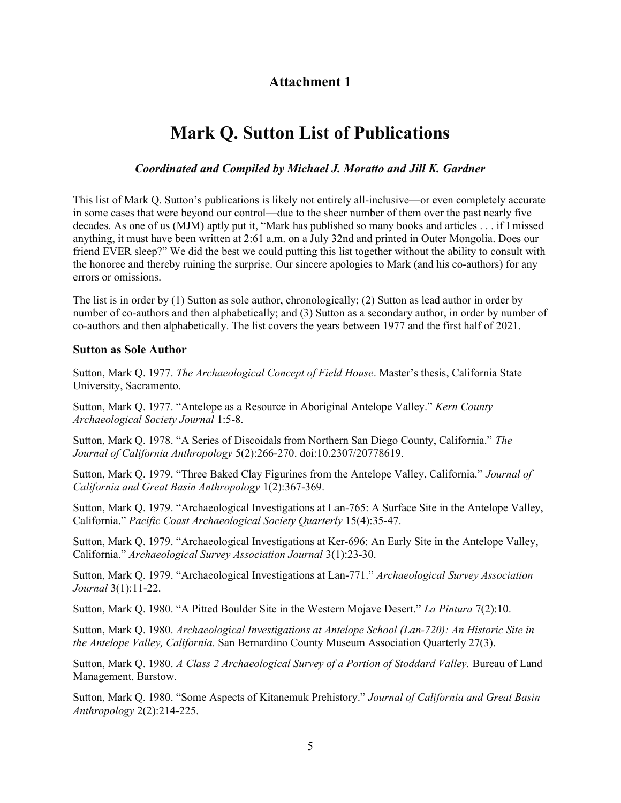## Attachment 1

# Mark Q. Sutton List of Publications

### Coordinated and Compiled by Michael J. Moratto and Jill K. Gardner

This list of Mark Q. Sutton's publications is likely not entirely all-inclusive—or even completely accurate in some cases that were beyond our control—due to the sheer number of them over the past nearly five decades. As one of us (MJM) aptly put it, "Mark has published so many books and articles . . . if I missed anything, it must have been written at 2:61 a.m. on a July 32nd and printed in Outer Mongolia. Does our friend EVER sleep?" We did the best we could putting this list together without the ability to consult with the honoree and thereby ruining the surprise. Our sincere apologies to Mark (and his co-authors) for any errors or omissions.

The list is in order by (1) Sutton as sole author, chronologically; (2) Sutton as lead author in order by number of co-authors and then alphabetically; and (3) Sutton as a secondary author, in order by number of co-authors and then alphabetically. The list covers the years between 1977 and the first half of 2021.

#### Sutton as Sole Author

Sutton, Mark Q. 1977. The Archaeological Concept of Field House. Master's thesis, California State University, Sacramento.

Sutton, Mark Q. 1977. "Antelope as a Resource in Aboriginal Antelope Valley." Kern County Archaeological Society Journal 1:5-8.

Sutton, Mark Q. 1978. "A Series of Discoidals from Northern San Diego County, California." The Journal of California Anthropology 5(2):266-270. doi:10.2307/20778619.

Sutton, Mark Q. 1979. "Three Baked Clay Figurines from the Antelope Valley, California." Journal of California and Great Basin Anthropology 1(2):367-369.

Sutton, Mark Q. 1979. "Archaeological Investigations at Lan-765: A Surface Site in the Antelope Valley, California." Pacific Coast Archaeological Society Quarterly 15(4):35-47.

Sutton, Mark Q. 1979. "Archaeological Investigations at Ker-696: An Early Site in the Antelope Valley, California." Archaeological Survey Association Journal 3(1):23-30.

Sutton, Mark Q. 1979. "Archaeological Investigations at Lan-771." Archaeological Survey Association Journal 3(1):11-22.

Sutton, Mark Q. 1980. "A Pitted Boulder Site in the Western Mojave Desert." La Pintura 7(2):10.

Sutton, Mark Q. 1980. Archaeological Investigations at Antelope School (Lan-720): An Historic Site in the Antelope Valley, California. San Bernardino County Museum Association Quarterly 27(3).

Sutton, Mark Q. 1980. A Class 2 Archaeological Survey of a Portion of Stoddard Valley. Bureau of Land Management, Barstow.

Sutton, Mark Q. 1980. "Some Aspects of Kitanemuk Prehistory." Journal of California and Great Basin Anthropology 2(2):214-225.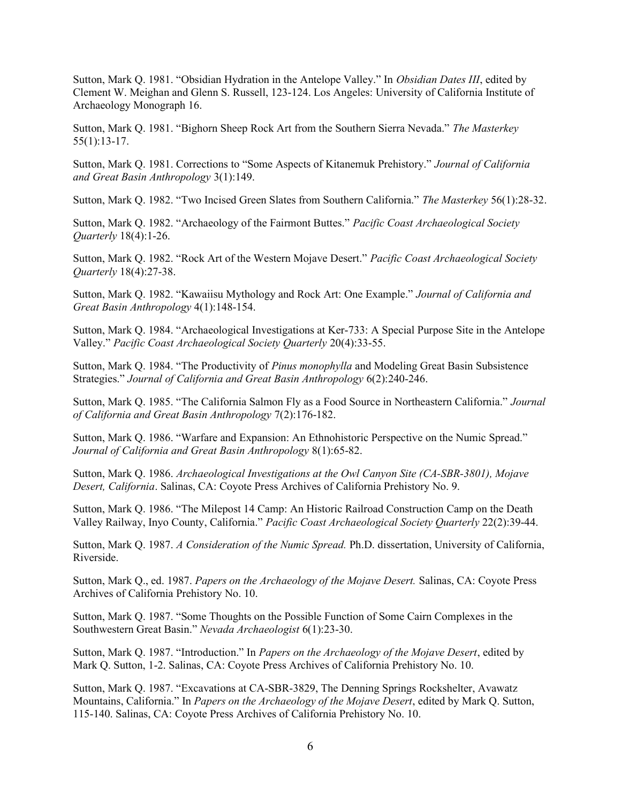Sutton, Mark Q. 1981. "Obsidian Hydration in the Antelope Valley." In Obsidian Dates III, edited by Clement W. Meighan and Glenn S. Russell, 123-124. Los Angeles: University of California Institute of Archaeology Monograph 16.

Sutton, Mark Q. 1981. "Bighorn Sheep Rock Art from the Southern Sierra Nevada." The Masterkey 55(1):13-17.

Sutton, Mark Q. 1981. Corrections to "Some Aspects of Kitanemuk Prehistory." Journal of California and Great Basin Anthropology 3(1):149.

Sutton, Mark Q. 1982. "Two Incised Green Slates from Southern California." The Masterkey 56(1):28-32.

Sutton, Mark Q. 1982. "Archaeology of the Fairmont Buttes." Pacific Coast Archaeological Society Quarterly 18(4):1-26.

Sutton, Mark Q. 1982. "Rock Art of the Western Mojave Desert." Pacific Coast Archaeological Society Quarterly 18(4):27-38.

Sutton, Mark Q. 1982. "Kawaiisu Mythology and Rock Art: One Example." Journal of California and Great Basin Anthropology 4(1):148-154.

Sutton, Mark Q. 1984. "Archaeological Investigations at Ker-733: A Special Purpose Site in the Antelope Valley." Pacific Coast Archaeological Society Quarterly 20(4):33-55.

Sutton, Mark Q. 1984. "The Productivity of Pinus monophylla and Modeling Great Basin Subsistence Strategies." Journal of California and Great Basin Anthropology 6(2):240-246.

Sutton, Mark Q. 1985. "The California Salmon Fly as a Food Source in Northeastern California." Journal of California and Great Basin Anthropology 7(2):176-182.

Sutton, Mark Q. 1986. "Warfare and Expansion: An Ethnohistoric Perspective on the Numic Spread." Journal of California and Great Basin Anthropology 8(1):65-82.

Sutton, Mark Q. 1986. Archaeological Investigations at the Owl Canyon Site (CA-SBR-3801), Mojave Desert, California. Salinas, CA: Coyote Press Archives of California Prehistory No. 9.

Sutton, Mark Q. 1986. "The Milepost 14 Camp: An Historic Railroad Construction Camp on the Death Valley Railway, Inyo County, California." Pacific Coast Archaeological Society Quarterly 22(2):39-44.

Sutton, Mark Q. 1987. A Consideration of the Numic Spread. Ph.D. dissertation, University of California, Riverside.

Sutton, Mark Q., ed. 1987. Papers on the Archaeology of the Mojave Desert. Salinas, CA: Coyote Press Archives of California Prehistory No. 10.

Sutton, Mark Q. 1987. "Some Thoughts on the Possible Function of Some Cairn Complexes in the Southwestern Great Basin." Nevada Archaeologist 6(1):23-30.

Sutton, Mark Q. 1987. "Introduction." In Papers on the Archaeology of the Mojave Desert, edited by Mark Q. Sutton, 1-2. Salinas, CA: Coyote Press Archives of California Prehistory No. 10.

Sutton, Mark Q. 1987. "Excavations at CA-SBR-3829, The Denning Springs Rockshelter, Avawatz Mountains, California." In Papers on the Archaeology of the Mojave Desert, edited by Mark Q. Sutton, 115-140. Salinas, CA: Coyote Press Archives of California Prehistory No. 10.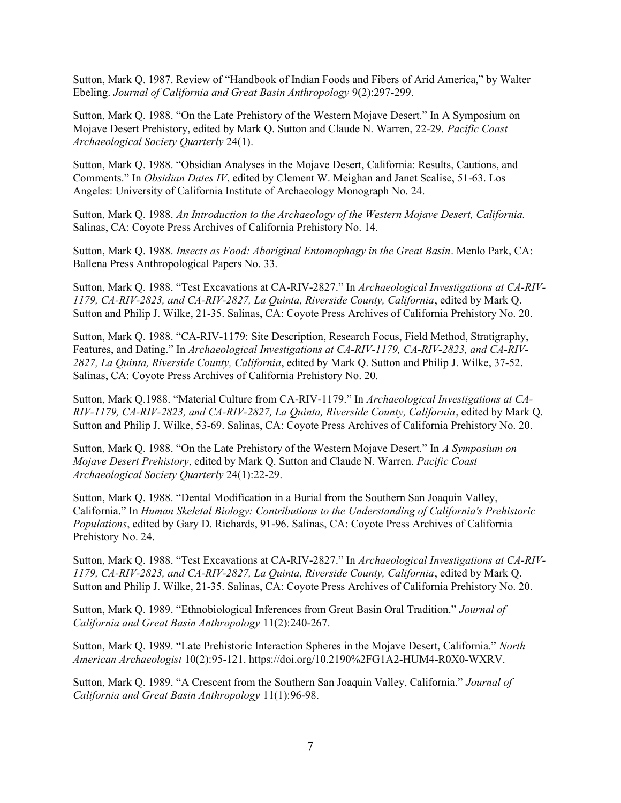Sutton, Mark Q. 1987. Review of "Handbook of Indian Foods and Fibers of Arid America," by Walter Ebeling. Journal of California and Great Basin Anthropology 9(2):297-299.

Sutton, Mark Q. 1988. "On the Late Prehistory of the Western Mojave Desert." In A Symposium on Mojave Desert Prehistory, edited by Mark Q. Sutton and Claude N. Warren, 22-29. Pacific Coast Archaeological Society Quarterly 24(1).

Sutton, Mark Q. 1988. "Obsidian Analyses in the Mojave Desert, California: Results, Cautions, and Comments." In Obsidian Dates IV, edited by Clement W. Meighan and Janet Scalise, 51-63. Los Angeles: University of California Institute of Archaeology Monograph No. 24.

Sutton, Mark Q. 1988. An Introduction to the Archaeology of the Western Mojave Desert, California. Salinas, CA: Coyote Press Archives of California Prehistory No. 14.

Sutton, Mark Q. 1988. Insects as Food: Aboriginal Entomophagy in the Great Basin. Menlo Park, CA: Ballena Press Anthropological Papers No. 33.

Sutton, Mark Q. 1988. "Test Excavations at CA-RIV-2827." In Archaeological Investigations at CA-RIV-1179, CA-RIV-2823, and CA-RIV-2827, La Quinta, Riverside County, California, edited by Mark Q. Sutton and Philip J. Wilke, 21-35. Salinas, CA: Coyote Press Archives of California Prehistory No. 20.

Sutton, Mark Q. 1988. "CA-RIV-1179: Site Description, Research Focus, Field Method, Stratigraphy, Features, and Dating." In Archaeological Investigations at CA-RIV-1179, CA-RIV-2823, and CA-RIV-2827, La Quinta, Riverside County, California, edited by Mark Q. Sutton and Philip J. Wilke, 37-52. Salinas, CA: Coyote Press Archives of California Prehistory No. 20.

Sutton, Mark Q.1988. "Material Culture from CA-RIV-1179." In Archaeological Investigations at CA-RIV-1179, CA-RIV-2823, and CA-RIV-2827, La Quinta, Riverside County, California, edited by Mark Q. Sutton and Philip J. Wilke, 53-69. Salinas, CA: Coyote Press Archives of California Prehistory No. 20.

Sutton, Mark Q. 1988. "On the Late Prehistory of the Western Mojave Desert." In A Symposium on Mojave Desert Prehistory, edited by Mark Q. Sutton and Claude N. Warren. Pacific Coast Archaeological Society Quarterly 24(1):22-29.

Sutton, Mark Q. 1988. "Dental Modification in a Burial from the Southern San Joaquin Valley, California." In Human Skeletal Biology: Contributions to the Understanding of California's Prehistoric Populations, edited by Gary D. Richards, 91-96. Salinas, CA: Coyote Press Archives of California Prehistory No. 24.

Sutton, Mark Q. 1988. "Test Excavations at CA-RIV-2827." In Archaeological Investigations at CA-RIV-1179, CA-RIV-2823, and CA-RIV-2827, La Quinta, Riverside County, California, edited by Mark Q. Sutton and Philip J. Wilke, 21-35. Salinas, CA: Coyote Press Archives of California Prehistory No. 20.

Sutton, Mark Q. 1989. "Ethnobiological Inferences from Great Basin Oral Tradition." Journal of California and Great Basin Anthropology 11(2):240-267.

Sutton, Mark Q. 1989. "Late Prehistoric Interaction Spheres in the Mojave Desert, California." North American Archaeologist 10(2):95-121. https://doi.org/10.2190%2FG1A2-HUM4-R0X0-WXRV.

Sutton, Mark Q. 1989. "A Crescent from the Southern San Joaquin Valley, California." Journal of California and Great Basin Anthropology 11(1):96-98.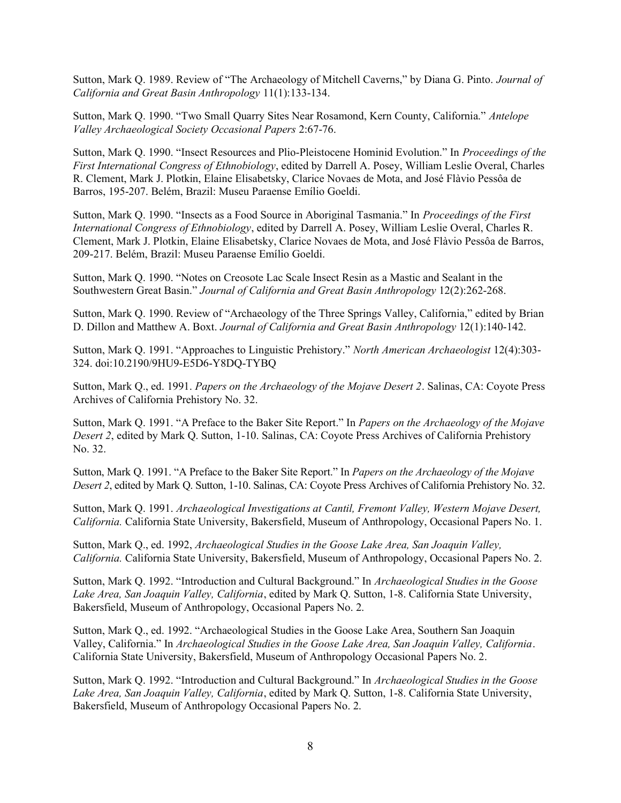Sutton, Mark Q. 1989. Review of "The Archaeology of Mitchell Caverns," by Diana G. Pinto. Journal of California and Great Basin Anthropology 11(1):133-134.

Sutton, Mark Q. 1990. "Two Small Quarry Sites Near Rosamond, Kern County, California." Antelope Valley Archaeological Society Occasional Papers 2:67-76.

Sutton, Mark Q. 1990. "Insect Resources and Plio-Pleistocene Hominid Evolution." In Proceedings of the First International Congress of Ethnobiology, edited by Darrell A. Posey, William Leslie Overal, Charles R. Clement, Mark J. Plotkin, Elaine Elisabetsky, Clarice Novaes de Mota, and José Flàvio Pessôa de Barros, 195-207. Belém, Brazil: Museu Paraense Emílio Goeldi.

Sutton, Mark Q. 1990. "Insects as a Food Source in Aboriginal Tasmania." In Proceedings of the First International Congress of Ethnobiology, edited by Darrell A. Posey, William Leslie Overal, Charles R. Clement, Mark J. Plotkin, Elaine Elisabetsky, Clarice Novaes de Mota, and José Flàvio Pessôa de Barros, 209-217. Belém, Brazil: Museu Paraense Emílio Goeldi.

Sutton, Mark Q. 1990. "Notes on Creosote Lac Scale Insect Resin as a Mastic and Sealant in the Southwestern Great Basin." Journal of California and Great Basin Anthropology 12(2):262-268.

Sutton, Mark Q. 1990. Review of "Archaeology of the Three Springs Valley, California," edited by Brian D. Dillon and Matthew A. Boxt. Journal of California and Great Basin Anthropology 12(1):140-142.

Sutton, Mark Q. 1991. "Approaches to Linguistic Prehistory." North American Archaeologist 12(4):303- 324. doi:10.2190/9HU9-E5D6-Y8DQ-TYBQ

Sutton, Mark Q., ed. 1991. Papers on the Archaeology of the Mojave Desert 2. Salinas, CA: Coyote Press Archives of California Prehistory No. 32.

Sutton, Mark Q. 1991. "A Preface to the Baker Site Report." In Papers on the Archaeology of the Mojave Desert 2, edited by Mark Q. Sutton, 1-10. Salinas, CA: Coyote Press Archives of California Prehistory No. 32.

Sutton, Mark Q. 1991. "A Preface to the Baker Site Report." In Papers on the Archaeology of the Mojave Desert 2, edited by Mark Q. Sutton, 1-10. Salinas, CA: Coyote Press Archives of California Prehistory No. 32.

Sutton, Mark Q. 1991. Archaeological Investigations at Cantil, Fremont Valley, Western Mojave Desert, California. California State University, Bakersfield, Museum of Anthropology, Occasional Papers No. 1.

Sutton, Mark Q., ed. 1992, Archaeological Studies in the Goose Lake Area, San Joaquin Valley, California. California State University, Bakersfield, Museum of Anthropology, Occasional Papers No. 2.

Sutton, Mark Q. 1992. "Introduction and Cultural Background." In Archaeological Studies in the Goose Lake Area, San Joaquin Valley, California, edited by Mark Q. Sutton, 1-8. California State University, Bakersfield, Museum of Anthropology, Occasional Papers No. 2.

Sutton, Mark Q., ed. 1992. "Archaeological Studies in the Goose Lake Area, Southern San Joaquin Valley, California." In Archaeological Studies in the Goose Lake Area, San Joaquin Valley, California. California State University, Bakersfield, Museum of Anthropology Occasional Papers No. 2.

Sutton, Mark Q. 1992. "Introduction and Cultural Background." In Archaeological Studies in the Goose Lake Area, San Joaquin Valley, California, edited by Mark Q. Sutton, 1-8. California State University, Bakersfield, Museum of Anthropology Occasional Papers No. 2.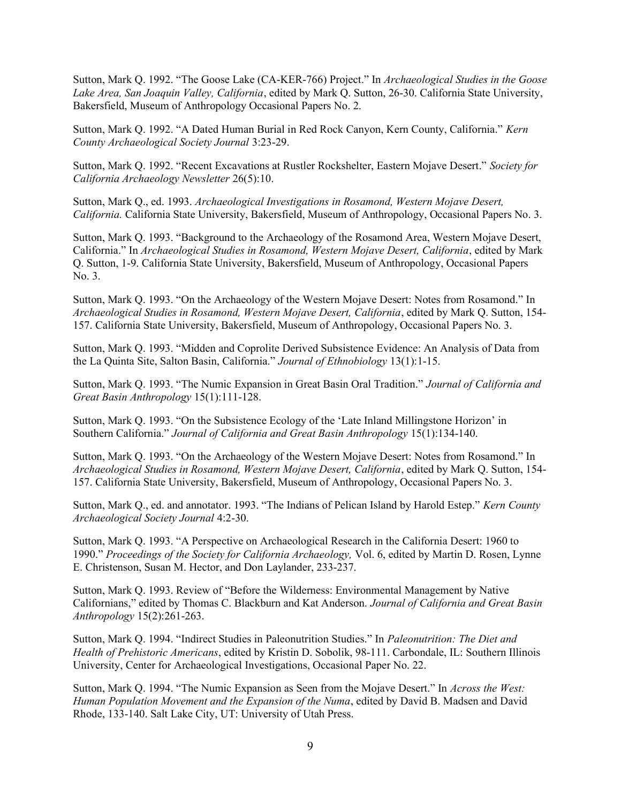Sutton, Mark Q. 1992. "The Goose Lake (CA-KER-766) Project." In Archaeological Studies in the Goose Lake Area, San Joaquin Valley, California, edited by Mark Q. Sutton, 26-30. California State University, Bakersfield, Museum of Anthropology Occasional Papers No. 2.

Sutton, Mark Q. 1992. "A Dated Human Burial in Red Rock Canyon, Kern County, California." Kern County Archaeological Society Journal 3:23-29.

Sutton, Mark Q. 1992. "Recent Excavations at Rustler Rockshelter, Eastern Mojave Desert." Society for California Archaeology Newsletter 26(5):10.

Sutton, Mark Q., ed. 1993. Archaeological Investigations in Rosamond, Western Mojave Desert, California. California State University, Bakersfield, Museum of Anthropology, Occasional Papers No. 3.

Sutton, Mark Q. 1993. "Background to the Archaeology of the Rosamond Area, Western Mojave Desert, California." In Archaeological Studies in Rosamond, Western Mojave Desert, California, edited by Mark Q. Sutton, 1-9. California State University, Bakersfield, Museum of Anthropology, Occasional Papers No. 3.

Sutton, Mark Q. 1993. "On the Archaeology of the Western Mojave Desert: Notes from Rosamond." In Archaeological Studies in Rosamond, Western Mojave Desert, California, edited by Mark Q. Sutton, 154- 157. California State University, Bakersfield, Museum of Anthropology, Occasional Papers No. 3.

Sutton, Mark Q. 1993. "Midden and Coprolite Derived Subsistence Evidence: An Analysis of Data from the La Quinta Site, Salton Basin, California." Journal of Ethnobiology 13(1):1-15.

Sutton, Mark Q. 1993. "The Numic Expansion in Great Basin Oral Tradition." Journal of California and Great Basin Anthropology 15(1):111-128.

Sutton, Mark Q. 1993. "On the Subsistence Ecology of the 'Late Inland Millingstone Horizon' in Southern California." Journal of California and Great Basin Anthropology 15(1):134-140.

Sutton, Mark Q. 1993. "On the Archaeology of the Western Mojave Desert: Notes from Rosamond." In Archaeological Studies in Rosamond, Western Mojave Desert, California, edited by Mark Q. Sutton, 154- 157. California State University, Bakersfield, Museum of Anthropology, Occasional Papers No. 3.

Sutton, Mark Q., ed. and annotator. 1993. "The Indians of Pelican Island by Harold Estep." Kern County Archaeological Society Journal 4:2-30.

Sutton, Mark Q. 1993. "A Perspective on Archaeological Research in the California Desert: 1960 to 1990." Proceedings of the Society for California Archaeology, Vol. 6, edited by Martin D. Rosen, Lynne E. Christenson, Susan M. Hector, and Don Laylander, 233-237.

Sutton, Mark Q. 1993. Review of "Before the Wilderness: Environmental Management by Native Californians," edited by Thomas C. Blackburn and Kat Anderson. Journal of California and Great Basin Anthropology 15(2):261-263.

Sutton, Mark Q. 1994. "Indirect Studies in Paleonutrition Studies." In Paleonutrition: The Diet and Health of Prehistoric Americans, edited by Kristin D. Sobolik, 98-111. Carbondale, IL: Southern Illinois University, Center for Archaeological Investigations, Occasional Paper No. 22.

Sutton, Mark Q. 1994. "The Numic Expansion as Seen from the Mojave Desert." In Across the West: Human Population Movement and the Expansion of the Numa, edited by David B. Madsen and David Rhode, 133-140. Salt Lake City, UT: University of Utah Press.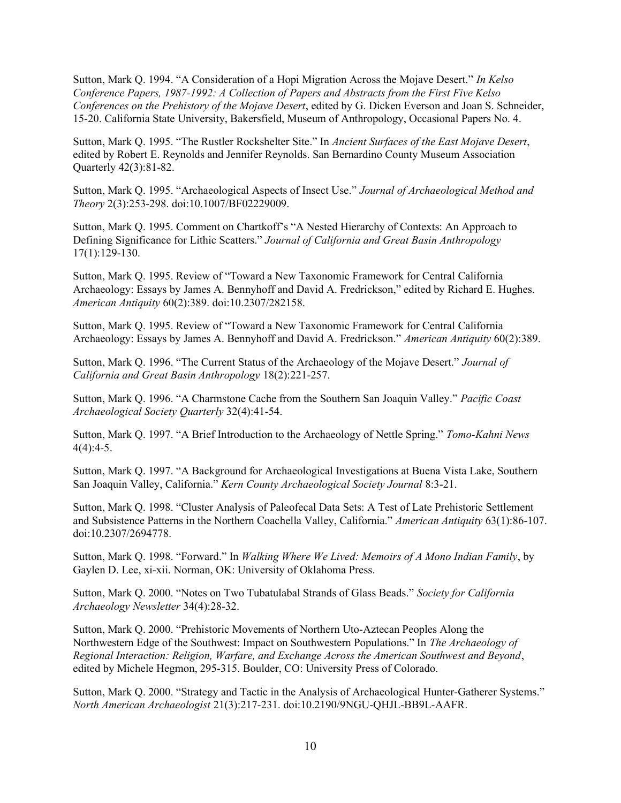Sutton, Mark Q. 1994. "A Consideration of a Hopi Migration Across the Mojave Desert." In Kelso Conference Papers, 1987-1992: A Collection of Papers and Abstracts from the First Five Kelso Conferences on the Prehistory of the Mojave Desert, edited by G. Dicken Everson and Joan S. Schneider, 15-20. California State University, Bakersfield, Museum of Anthropology, Occasional Papers No. 4.

Sutton, Mark Q. 1995. "The Rustler Rockshelter Site." In Ancient Surfaces of the East Mojave Desert, edited by Robert E. Reynolds and Jennifer Reynolds. San Bernardino County Museum Association Quarterly 42(3):81-82.

Sutton, Mark Q. 1995. "Archaeological Aspects of Insect Use." Journal of Archaeological Method and Theory 2(3):253-298. doi:10.1007/BF02229009.

Sutton, Mark Q. 1995. Comment on Chartkoff's "A Nested Hierarchy of Contexts: An Approach to Defining Significance for Lithic Scatters." Journal of California and Great Basin Anthropology 17(1):129-130.

Sutton, Mark Q. 1995. Review of "Toward a New Taxonomic Framework for Central California Archaeology: Essays by James A. Bennyhoff and David A. Fredrickson," edited by Richard E. Hughes. American Antiquity 60(2):389. doi:10.2307/282158.

Sutton, Mark Q. 1995. Review of "Toward a New Taxonomic Framework for Central California Archaeology: Essays by James A. Bennyhoff and David A. Fredrickson." American Antiquity 60(2):389.

Sutton, Mark Q. 1996. "The Current Status of the Archaeology of the Mojave Desert." Journal of California and Great Basin Anthropology 18(2):221-257.

Sutton, Mark Q. 1996. "A Charmstone Cache from the Southern San Joaquin Valley." Pacific Coast Archaeological Society Quarterly 32(4):41-54.

Sutton, Mark Q. 1997. "A Brief Introduction to the Archaeology of Nettle Spring." Tomo-Kahni News  $4(4):4-5.$ 

Sutton, Mark Q. 1997. "A Background for Archaeological Investigations at Buena Vista Lake, Southern San Joaquin Valley, California." Kern County Archaeological Society Journal 8:3-21.

Sutton, Mark Q. 1998. "Cluster Analysis of Paleofecal Data Sets: A Test of Late Prehistoric Settlement and Subsistence Patterns in the Northern Coachella Valley, California." American Antiquity 63(1):86-107. doi:10.2307/2694778.

Sutton, Mark Q. 1998. "Forward." In Walking Where We Lived: Memoirs of A Mono Indian Family, by Gaylen D. Lee, xi-xii. Norman, OK: University of Oklahoma Press.

Sutton, Mark Q. 2000. "Notes on Two Tubatulabal Strands of Glass Beads." Society for California Archaeology Newsletter 34(4):28-32.

Sutton, Mark Q. 2000. "Prehistoric Movements of Northern Uto-Aztecan Peoples Along the Northwestern Edge of the Southwest: Impact on Southwestern Populations." In The Archaeology of Regional Interaction: Religion, Warfare, and Exchange Across the American Southwest and Beyond, edited by Michele Hegmon, 295-315. Boulder, CO: University Press of Colorado.

Sutton, Mark Q. 2000. "Strategy and Tactic in the Analysis of Archaeological Hunter-Gatherer Systems." North American Archaeologist 21(3):217-231. doi:10.2190/9NGU-QHJL-BB9L-AAFR.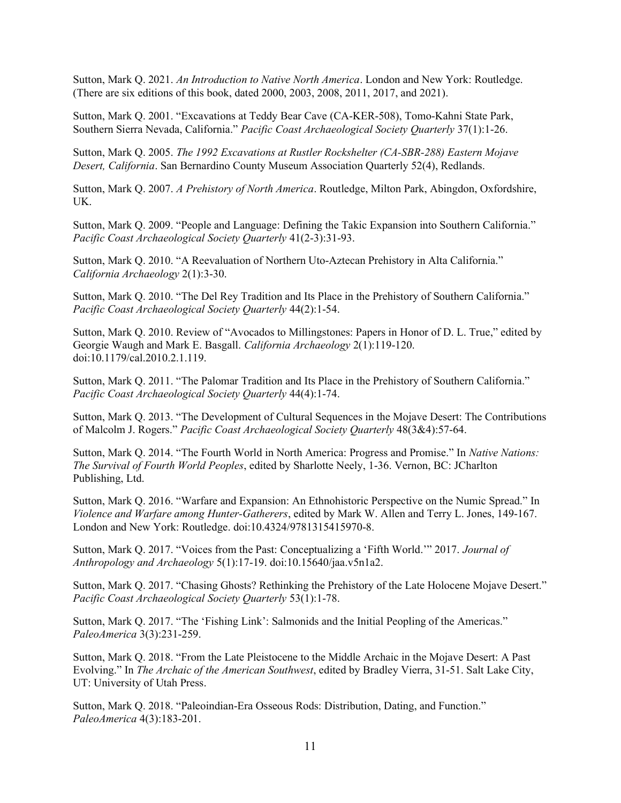Sutton, Mark Q. 2021. An Introduction to Native North America. London and New York: Routledge. (There are six editions of this book, dated 2000, 2003, 2008, 2011, 2017, and 2021).

Sutton, Mark Q. 2001. "Excavations at Teddy Bear Cave (CA-KER-508), Tomo-Kahni State Park, Southern Sierra Nevada, California." Pacific Coast Archaeological Society Quarterly 37(1):1-26.

Sutton, Mark Q. 2005. The 1992 Excavations at Rustler Rockshelter (CA-SBR-288) Eastern Mojave Desert, California. San Bernardino County Museum Association Quarterly 52(4), Redlands.

Sutton, Mark Q. 2007. A Prehistory of North America. Routledge, Milton Park, Abingdon, Oxfordshire, UK.

Sutton, Mark Q. 2009. "People and Language: Defining the Takic Expansion into Southern California." Pacific Coast Archaeological Society Quarterly 41(2-3):31-93.

Sutton, Mark Q. 2010. "A Reevaluation of Northern Uto-Aztecan Prehistory in Alta California." California Archaeology 2(1):3-30.

Sutton, Mark Q. 2010. "The Del Rey Tradition and Its Place in the Prehistory of Southern California." Pacific Coast Archaeological Society Quarterly 44(2):1-54.

Sutton, Mark Q. 2010. Review of "Avocados to Millingstones: Papers in Honor of D. L. True," edited by Georgie Waugh and Mark E. Basgall. California Archaeology 2(1):119-120. doi:10.1179/cal.2010.2.1.119.

Sutton, Mark Q. 2011. "The Palomar Tradition and Its Place in the Prehistory of Southern California." Pacific Coast Archaeological Society Quarterly 44(4):1-74.

Sutton, Mark Q. 2013. "The Development of Cultural Sequences in the Mojave Desert: The Contributions of Malcolm J. Rogers." Pacific Coast Archaeological Society Quarterly 48(3&4):57-64.

Sutton, Mark Q. 2014. "The Fourth World in North America: Progress and Promise." In Native Nations: The Survival of Fourth World Peoples, edited by Sharlotte Neely, 1-36. Vernon, BC: JCharlton Publishing, Ltd.

Sutton, Mark Q. 2016. "Warfare and Expansion: An Ethnohistoric Perspective on the Numic Spread." In Violence and Warfare among Hunter-Gatherers, edited by Mark W. Allen and Terry L. Jones, 149-167. London and New York: Routledge. doi:10.4324/9781315415970-8.

Sutton, Mark Q. 2017. "Voices from the Past: Conceptualizing a 'Fifth World.'" 2017. Journal of Anthropology and Archaeology 5(1):17-19. doi:10.15640/jaa.v5n1a2.

Sutton, Mark Q. 2017. "Chasing Ghosts? Rethinking the Prehistory of the Late Holocene Mojave Desert." Pacific Coast Archaeological Society Quarterly 53(1):1-78.

Sutton, Mark Q. 2017. "The 'Fishing Link': Salmonids and the Initial Peopling of the Americas." PaleoAmerica 3(3):231-259.

Sutton, Mark Q. 2018. "From the Late Pleistocene to the Middle Archaic in the Mojave Desert: A Past Evolving." In The Archaic of the American Southwest, edited by Bradley Vierra, 31-51. Salt Lake City, UT: University of Utah Press.

Sutton, Mark Q. 2018. "Paleoindian-Era Osseous Rods: Distribution, Dating, and Function." PaleoAmerica 4(3):183-201.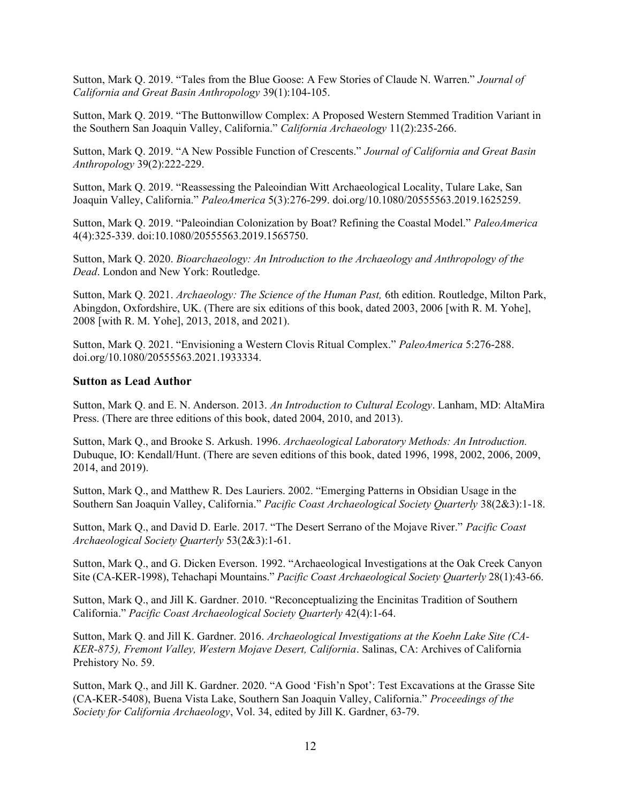Sutton, Mark Q. 2019. "Tales from the Blue Goose: A Few Stories of Claude N. Warren." Journal of California and Great Basin Anthropology 39(1):104-105.

Sutton, Mark Q. 2019. "The Buttonwillow Complex: A Proposed Western Stemmed Tradition Variant in the Southern San Joaquin Valley, California." California Archaeology 11(2):235-266.

Sutton, Mark Q. 2019. "A New Possible Function of Crescents." Journal of California and Great Basin Anthropology 39(2):222-229.

Sutton, Mark Q. 2019. "Reassessing the Paleoindian Witt Archaeological Locality, Tulare Lake, San Joaquin Valley, California." PaleoAmerica 5(3):276-299. doi.org/10.1080/20555563.2019.1625259.

Sutton, Mark Q. 2019. "Paleoindian Colonization by Boat? Refining the Coastal Model." PaleoAmerica 4(4):325-339. doi:10.1080/20555563.2019.1565750.

Sutton, Mark Q. 2020. Bioarchaeology: An Introduction to the Archaeology and Anthropology of the Dead. London and New York: Routledge.

Sutton, Mark Q. 2021. Archaeology: The Science of the Human Past, 6th edition. Routledge, Milton Park, Abingdon, Oxfordshire, UK. (There are six editions of this book, dated 2003, 2006 [with R. M. Yohe], 2008 [with R. M. Yohe], 2013, 2018, and 2021).

Sutton, Mark Q. 2021. "Envisioning a Western Clovis Ritual Complex." PaleoAmerica 5:276-288. doi.org/10.1080/20555563.2021.1933334.

#### Sutton as Lead Author

Sutton, Mark Q. and E. N. Anderson. 2013. An Introduction to Cultural Ecology. Lanham, MD: AltaMira Press. (There are three editions of this book, dated 2004, 2010, and 2013).

Sutton, Mark Q., and Brooke S. Arkush. 1996. Archaeological Laboratory Methods: An Introduction. Dubuque, IO: Kendall/Hunt. (There are seven editions of this book, dated 1996, 1998, 2002, 2006, 2009, 2014, and 2019).

Sutton, Mark Q., and Matthew R. Des Lauriers. 2002. "Emerging Patterns in Obsidian Usage in the Southern San Joaquin Valley, California." Pacific Coast Archaeological Society Quarterly 38(2&3):1-18.

Sutton, Mark Q., and David D. Earle. 2017. "The Desert Serrano of the Mojave River." Pacific Coast Archaeological Society Quarterly 53(2&3):1-61.

Sutton, Mark Q., and G. Dicken Everson. 1992. "Archaeological Investigations at the Oak Creek Canyon Site (CA-KER-1998), Tehachapi Mountains." Pacific Coast Archaeological Society Quarterly 28(1):43-66.

Sutton, Mark Q., and Jill K. Gardner. 2010. "Reconceptualizing the Encinitas Tradition of Southern California." Pacific Coast Archaeological Society Quarterly 42(4):1-64.

Sutton, Mark Q. and Jill K. Gardner. 2016. Archaeological Investigations at the Koehn Lake Site (CA-KER-875), Fremont Valley, Western Mojave Desert, California. Salinas, CA: Archives of California Prehistory No. 59.

Sutton, Mark Q., and Jill K. Gardner. 2020. "A Good 'Fish'n Spot': Test Excavations at the Grasse Site (CA-KER-5408), Buena Vista Lake, Southern San Joaquin Valley, California." Proceedings of the Society for California Archaeology, Vol. 34, edited by Jill K. Gardner, 63-79.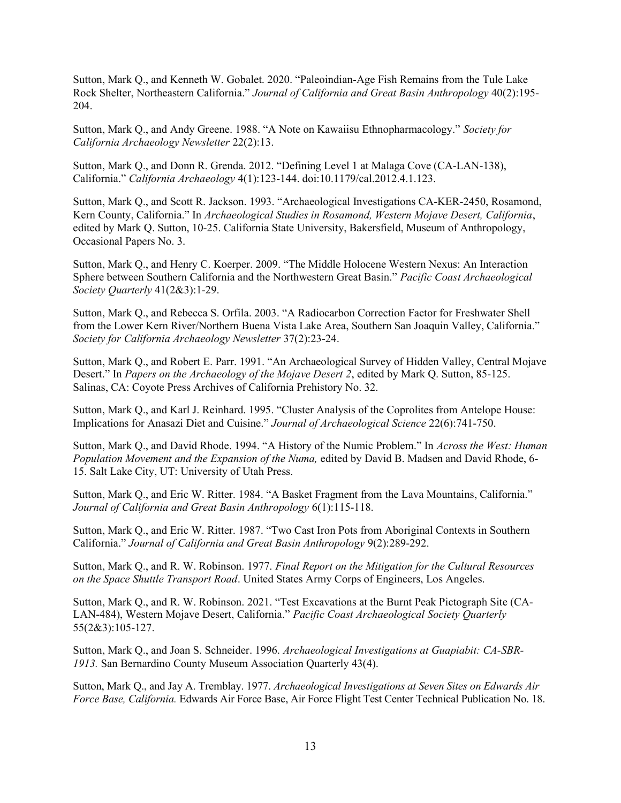Sutton, Mark Q., and Kenneth W. Gobalet. 2020. "Paleoindian-Age Fish Remains from the Tule Lake Rock Shelter, Northeastern California." Journal of California and Great Basin Anthropology 40(2):195- 204.

Sutton, Mark Q., and Andy Greene. 1988. "A Note on Kawaiisu Ethnopharmacology." Society for California Archaeology Newsletter 22(2):13.

Sutton, Mark Q., and Donn R. Grenda. 2012. "Defining Level 1 at Malaga Cove (CA-LAN-138), California." California Archaeology 4(1):123-144. doi:10.1179/cal.2012.4.1.123.

Sutton, Mark Q., and Scott R. Jackson. 1993. "Archaeological Investigations CA-KER-2450, Rosamond, Kern County, California." In Archaeological Studies in Rosamond, Western Mojave Desert, California, edited by Mark Q. Sutton, 10-25. California State University, Bakersfield, Museum of Anthropology, Occasional Papers No. 3.

Sutton, Mark Q., and Henry C. Koerper. 2009. "The Middle Holocene Western Nexus: An Interaction Sphere between Southern California and the Northwestern Great Basin." Pacific Coast Archaeological Society Quarterly 41(2&3):1-29.

Sutton, Mark Q., and Rebecca S. Orfila. 2003. "A Radiocarbon Correction Factor for Freshwater Shell from the Lower Kern River/Northern Buena Vista Lake Area, Southern San Joaquin Valley, California." Society for California Archaeology Newsletter 37(2):23-24.

Sutton, Mark Q., and Robert E. Parr. 1991. "An Archaeological Survey of Hidden Valley, Central Mojave Desert." In Papers on the Archaeology of the Mojave Desert 2, edited by Mark Q. Sutton, 85-125. Salinas, CA: Coyote Press Archives of California Prehistory No. 32.

Sutton, Mark Q., and Karl J. Reinhard. 1995. "Cluster Analysis of the Coprolites from Antelope House: Implications for Anasazi Diet and Cuisine." Journal of Archaeological Science 22(6):741-750.

Sutton, Mark Q., and David Rhode. 1994. "A History of the Numic Problem." In Across the West: Human Population Movement and the Expansion of the Numa, edited by David B. Madsen and David Rhode, 6- 15. Salt Lake City, UT: University of Utah Press.

Sutton, Mark Q., and Eric W. Ritter. 1984. "A Basket Fragment from the Lava Mountains, California." Journal of California and Great Basin Anthropology 6(1):115-118.

Sutton, Mark Q., and Eric W. Ritter. 1987. "Two Cast Iron Pots from Aboriginal Contexts in Southern California." Journal of California and Great Basin Anthropology 9(2):289-292.

Sutton, Mark Q., and R. W. Robinson. 1977. Final Report on the Mitigation for the Cultural Resources on the Space Shuttle Transport Road. United States Army Corps of Engineers, Los Angeles.

Sutton, Mark Q., and R. W. Robinson. 2021. "Test Excavations at the Burnt Peak Pictograph Site (CA-LAN-484), Western Mojave Desert, California." Pacific Coast Archaeological Society Quarterly 55(2&3):105-127.

Sutton, Mark Q., and Joan S. Schneider. 1996. Archaeological Investigations at Guapiabit: CA-SBR-1913. San Bernardino County Museum Association Quarterly 43(4).

Sutton, Mark Q., and Jay A. Tremblay. 1977. Archaeological Investigations at Seven Sites on Edwards Air Force Base, California. Edwards Air Force Base, Air Force Flight Test Center Technical Publication No. 18.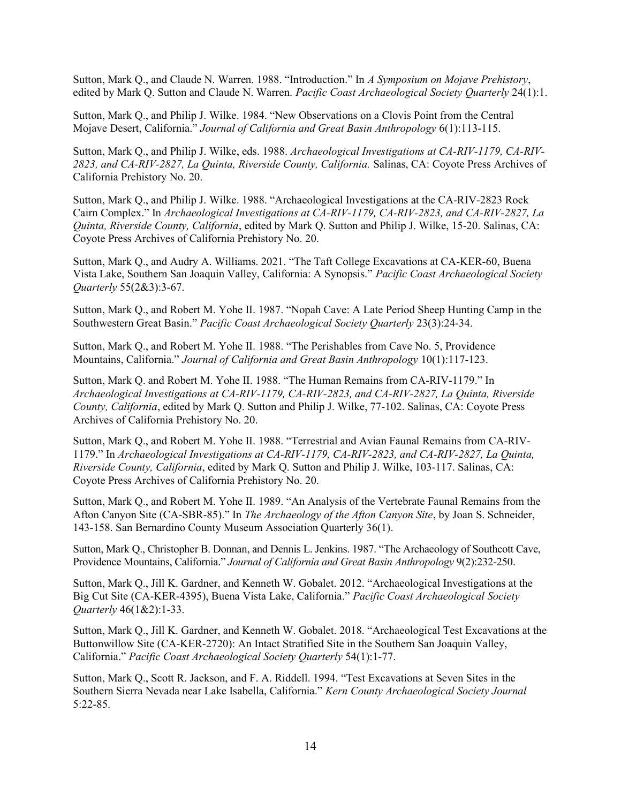Sutton, Mark Q., and Claude N. Warren. 1988. "Introduction." In A Symposium on Mojave Prehistory, edited by Mark Q. Sutton and Claude N. Warren. Pacific Coast Archaeological Society Quarterly 24(1):1.

Sutton, Mark Q., and Philip J. Wilke. 1984. "New Observations on a Clovis Point from the Central Mojave Desert, California." Journal of California and Great Basin Anthropology 6(1):113-115.

Sutton, Mark Q., and Philip J. Wilke, eds. 1988. Archaeological Investigations at CA-RIV-1179, CA-RIV-2823, and CA-RIV-2827, La Quinta, Riverside County, California. Salinas, CA: Coyote Press Archives of California Prehistory No. 20.

Sutton, Mark Q., and Philip J. Wilke. 1988. "Archaeological Investigations at the CA-RIV-2823 Rock Cairn Complex." In Archaeological Investigations at CA-RIV-1179, CA-RIV-2823, and CA-RIV-2827, La Quinta, Riverside County, California, edited by Mark Q. Sutton and Philip J. Wilke, 15-20. Salinas, CA: Coyote Press Archives of California Prehistory No. 20.

Sutton, Mark Q., and Audry A. Williams. 2021. "The Taft College Excavations at CA-KER-60, Buena Vista Lake, Southern San Joaquin Valley, California: A Synopsis." Pacific Coast Archaeological Society Quarterly 55(2&3):3-67.

Sutton, Mark Q., and Robert M. Yohe II. 1987. "Nopah Cave: A Late Period Sheep Hunting Camp in the Southwestern Great Basin." Pacific Coast Archaeological Society Quarterly 23(3):24-34.

Sutton, Mark Q., and Robert M. Yohe II. 1988. "The Perishables from Cave No. 5, Providence Mountains, California." Journal of California and Great Basin Anthropology 10(1):117-123.

Sutton, Mark Q. and Robert M. Yohe II. 1988. "The Human Remains from CA-RIV-1179." In Archaeological Investigations at CA-RIV-1179, CA-RIV-2823, and CA-RIV-2827, La Quinta, Riverside County, California, edited by Mark Q. Sutton and Philip J. Wilke, 77-102. Salinas, CA: Coyote Press Archives of California Prehistory No. 20.

Sutton, Mark Q., and Robert M. Yohe II. 1988. "Terrestrial and Avian Faunal Remains from CA-RIV-1179." In Archaeological Investigations at CA-RIV-1179, CA-RIV-2823, and CA-RIV-2827, La Quinta, Riverside County, California, edited by Mark Q. Sutton and Philip J. Wilke, 103-117. Salinas, CA: Coyote Press Archives of California Prehistory No. 20.

Sutton, Mark Q., and Robert M. Yohe II. 1989. "An Analysis of the Vertebrate Faunal Remains from the Afton Canyon Site (CA-SBR-85)." In The Archaeology of the Afton Canyon Site, by Joan S. Schneider, 143-158. San Bernardino County Museum Association Quarterly 36(1).

Sutton, Mark Q., Christopher B. Donnan, and Dennis L. Jenkins. 1987. "The Archaeology of Southcott Cave, Providence Mountains, California." Journal of California and Great Basin Anthropology 9(2):232-250.

Sutton, Mark Q., Jill K. Gardner, and Kenneth W. Gobalet. 2012. "Archaeological Investigations at the Big Cut Site (CA-KER-4395), Buena Vista Lake, California." Pacific Coast Archaeological Society Quarterly 46(1&2):1-33.

Sutton, Mark Q., Jill K. Gardner, and Kenneth W. Gobalet. 2018. "Archaeological Test Excavations at the Buttonwillow Site (CA-KER-2720): An Intact Stratified Site in the Southern San Joaquin Valley, California." Pacific Coast Archaeological Society Quarterly 54(1):1-77.

Sutton, Mark Q., Scott R. Jackson, and F. A. Riddell. 1994. "Test Excavations at Seven Sites in the Southern Sierra Nevada near Lake Isabella, California." Kern County Archaeological Society Journal 5:22-85.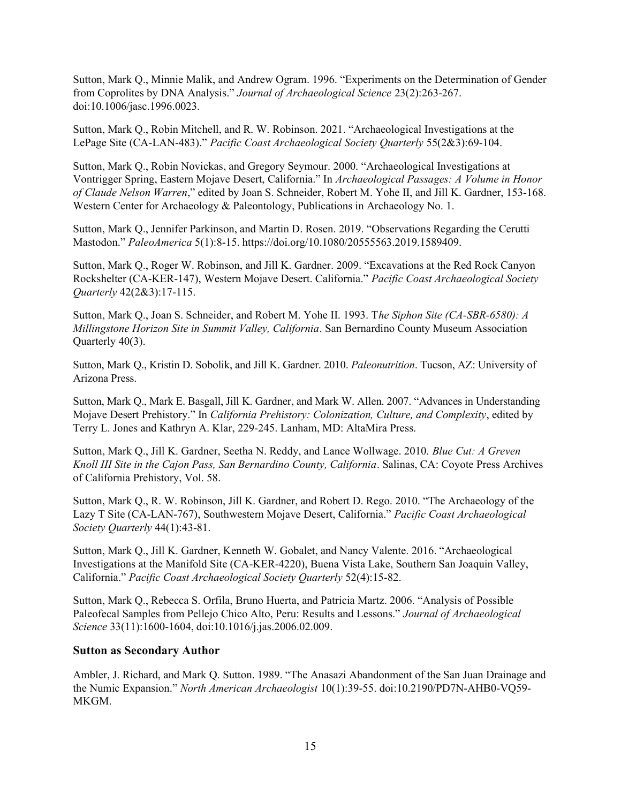Sutton, Mark Q., Minnie Malik, and Andrew Ogram. 1996. "Experiments on the Determination of Gender from Coprolites by DNA Analysis." Journal of Archaeological Science 23(2):263-267. doi:10.1006/jasc.1996.0023.

Sutton, Mark Q., Robin Mitchell, and R. W. Robinson. 2021. "Archaeological Investigations at the LePage Site (CA-LAN-483)." Pacific Coast Archaeological Society Quarterly 55(2&3):69-104.

Sutton, Mark Q., Robin Novickas, and Gregory Seymour. 2000. "Archaeological Investigations at Vontrigger Spring, Eastern Mojave Desert, California." In Archaeological Passages: A Volume in Honor of Claude Nelson Warren," edited by Joan S. Schneider, Robert M. Yohe II, and Jill K. Gardner, 153-168. Western Center for Archaeology & Paleontology, Publications in Archaeology No. 1.

Sutton, Mark Q., Jennifer Parkinson, and Martin D. Rosen. 2019. "Observations Regarding the Cerutti Mastodon." PaleoAmerica 5(1):8-15. https://doi.org/10.1080/20555563.2019.1589409.

Sutton, Mark Q., Roger W. Robinson, and Jill K. Gardner. 2009. "Excavations at the Red Rock Canyon Rockshelter (CA-KER-147), Western Mojave Desert. California." Pacific Coast Archaeological Society Quarterly 42(2&3):17-115.

Sutton, Mark Q., Joan S. Schneider, and Robert M. Yohe II. 1993. The Siphon Site (CA-SBR-6580): A Millingstone Horizon Site in Summit Valley, California. San Bernardino County Museum Association Quarterly 40(3).

Sutton, Mark Q., Kristin D. Sobolik, and Jill K. Gardner. 2010. Paleonutrition. Tucson, AZ: University of Arizona Press.

Sutton, Mark Q., Mark E. Basgall, Jill K. Gardner, and Mark W. Allen. 2007. "Advances in Understanding Mojave Desert Prehistory." In California Prehistory: Colonization, Culture, and Complexity, edited by Terry L. Jones and Kathryn A. Klar, 229-245. Lanham, MD: AltaMira Press.

Sutton, Mark Q., Jill K. Gardner, Seetha N. Reddy, and Lance Wollwage. 2010. Blue Cut: A Greven Knoll III Site in the Cajon Pass, San Bernardino County, California. Salinas, CA: Coyote Press Archives of California Prehistory, Vol. 58.

Sutton, Mark Q., R. W. Robinson, Jill K. Gardner, and Robert D. Rego. 2010. "The Archaeology of the Lazy T Site (CA-LAN-767), Southwestern Mojave Desert, California." Pacific Coast Archaeological Society Quarterly 44(1):43-81.

Sutton, Mark Q., Jill K. Gardner, Kenneth W. Gobalet, and Nancy Valente. 2016. "Archaeological Investigations at the Manifold Site (CA-KER-4220), Buena Vista Lake, Southern San Joaquin Valley, California." Pacific Coast Archaeological Society Quarterly 52(4):15-82.

Sutton, Mark Q., Rebecca S. Orfila, Bruno Huerta, and Patricia Martz. 2006. "Analysis of Possible Paleofecal Samples from Pellejo Chico Alto, Peru: Results and Lessons." Journal of Archaeological Science 33(11):1600-1604, doi:10.1016/j.jas.2006.02.009.

#### Sutton as Secondary Author

Ambler, J. Richard, and Mark Q. Sutton. 1989. "The Anasazi Abandonment of the San Juan Drainage and the Numic Expansion." North American Archaeologist 10(1):39-55. doi:10.2190/PD7N-AHB0-VQ59- MKGM.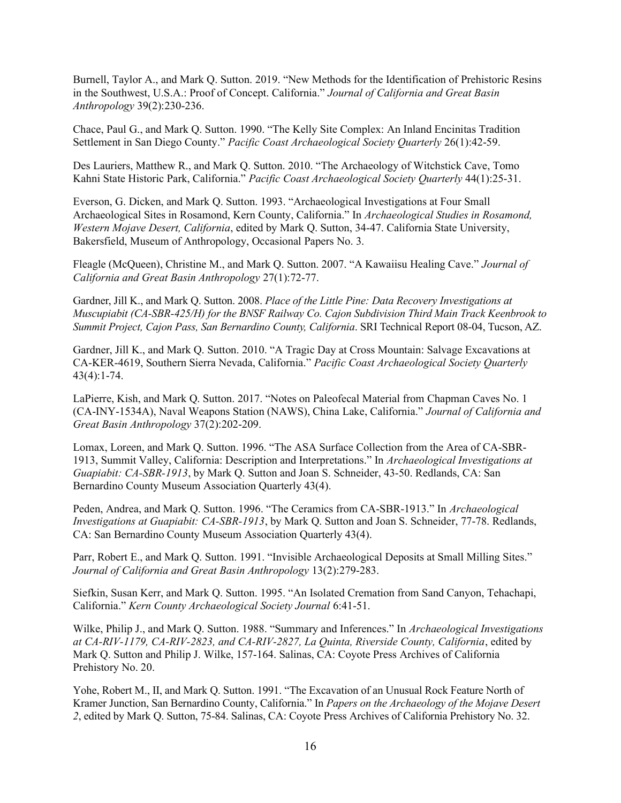Burnell, Taylor A., and Mark Q. Sutton. 2019. "New Methods for the Identification of Prehistoric Resins in the Southwest, U.S.A.: Proof of Concept. California." Journal of California and Great Basin Anthropology 39(2):230-236.

Chace, Paul G., and Mark Q. Sutton. 1990. "The Kelly Site Complex: An Inland Encinitas Tradition Settlement in San Diego County." Pacific Coast Archaeological Society Quarterly 26(1):42-59.

Des Lauriers, Matthew R., and Mark Q. Sutton. 2010. "The Archaeology of Witchstick Cave, Tomo Kahni State Historic Park, California." Pacific Coast Archaeological Society Quarterly 44(1):25-31.

Everson, G. Dicken, and Mark Q. Sutton. 1993. "Archaeological Investigations at Four Small Archaeological Sites in Rosamond, Kern County, California." In Archaeological Studies in Rosamond, Western Mojave Desert, California, edited by Mark Q. Sutton, 34-47. California State University, Bakersfield, Museum of Anthropology, Occasional Papers No. 3.

Fleagle (McQueen), Christine M., and Mark Q. Sutton. 2007. "A Kawaiisu Healing Cave." Journal of California and Great Basin Anthropology 27(1):72-77.

Gardner, Jill K., and Mark Q. Sutton. 2008. Place of the Little Pine: Data Recovery Investigations at Muscupiabit (CA-SBR-425/H) for the BNSF Railway Co. Cajon Subdivision Third Main Track Keenbrook to Summit Project, Cajon Pass, San Bernardino County, California. SRI Technical Report 08-04, Tucson, AZ.

Gardner, Jill K., and Mark Q. Sutton. 2010. "A Tragic Day at Cross Mountain: Salvage Excavations at CA-KER-4619, Southern Sierra Nevada, California." Pacific Coast Archaeological Society Quarterly 43(4):1-74.

LaPierre, Kish, and Mark Q. Sutton. 2017. "Notes on Paleofecal Material from Chapman Caves No. 1 (CA-INY-1534A), Naval Weapons Station (NAWS), China Lake, California." Journal of California and Great Basin Anthropology 37(2):202-209.

Lomax, Loreen, and Mark Q. Sutton. 1996. "The ASA Surface Collection from the Area of CA-SBR-1913, Summit Valley, California: Description and Interpretations." In Archaeological Investigations at Guapiabit: CA-SBR-1913, by Mark Q. Sutton and Joan S. Schneider, 43-50. Redlands, CA: San Bernardino County Museum Association Quarterly 43(4).

Peden, Andrea, and Mark Q. Sutton. 1996. "The Ceramics from CA-SBR-1913." In Archaeological Investigations at Guapiabit: CA-SBR-1913, by Mark Q. Sutton and Joan S. Schneider, 77-78. Redlands, CA: San Bernardino County Museum Association Quarterly 43(4).

Parr, Robert E., and Mark Q. Sutton. 1991. "Invisible Archaeological Deposits at Small Milling Sites." Journal of California and Great Basin Anthropology 13(2):279-283.

Siefkin, Susan Kerr, and Mark Q. Sutton. 1995. "An Isolated Cremation from Sand Canyon, Tehachapi, California." Kern County Archaeological Society Journal 6:41-51.

Wilke, Philip J., and Mark Q. Sutton. 1988. "Summary and Inferences." In Archaeological Investigations at CA-RIV-1179, CA-RIV-2823, and CA-RIV-2827, La Quinta, Riverside County, California, edited by Mark Q. Sutton and Philip J. Wilke, 157-164. Salinas, CA: Coyote Press Archives of California Prehistory No. 20.

Yohe, Robert M., II, and Mark Q. Sutton. 1991. "The Excavation of an Unusual Rock Feature North of Kramer Junction, San Bernardino County, California." In Papers on the Archaeology of the Mojave Desert 2, edited by Mark Q. Sutton, 75-84. Salinas, CA: Coyote Press Archives of California Prehistory No. 32.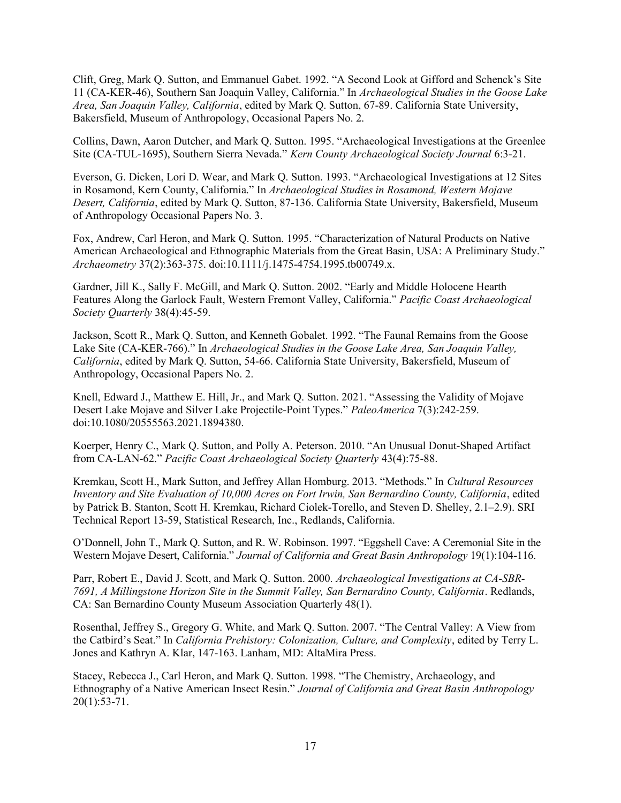Clift, Greg, Mark Q. Sutton, and Emmanuel Gabet. 1992. "A Second Look at Gifford and Schenck's Site 11 (CA-KER-46), Southern San Joaquin Valley, California." In Archaeological Studies in the Goose Lake Area, San Joaquin Valley, California, edited by Mark Q. Sutton, 67-89. California State University, Bakersfield, Museum of Anthropology, Occasional Papers No. 2.

Collins, Dawn, Aaron Dutcher, and Mark Q. Sutton. 1995. "Archaeological Investigations at the Greenlee Site (CA-TUL-1695), Southern Sierra Nevada." Kern County Archaeological Society Journal 6:3-21.

Everson, G. Dicken, Lori D. Wear, and Mark Q. Sutton. 1993. "Archaeological Investigations at 12 Sites in Rosamond, Kern County, California." In Archaeological Studies in Rosamond, Western Mojave Desert, California, edited by Mark Q. Sutton, 87-136. California State University, Bakersfield, Museum of Anthropology Occasional Papers No. 3.

Fox, Andrew, Carl Heron, and Mark Q. Sutton. 1995. "Characterization of Natural Products on Native American Archaeological and Ethnographic Materials from the Great Basin, USA: A Preliminary Study." Archaeometry 37(2):363-375. doi:10.1111/j.1475-4754.1995.tb00749.x.

Gardner, Jill K., Sally F. McGill, and Mark Q. Sutton. 2002. "Early and Middle Holocene Hearth Features Along the Garlock Fault, Western Fremont Valley, California." Pacific Coast Archaeological Society Quarterly 38(4):45-59.

Jackson, Scott R., Mark Q. Sutton, and Kenneth Gobalet. 1992. "The Faunal Remains from the Goose Lake Site (CA-KER-766)." In Archaeological Studies in the Goose Lake Area, San Joaquin Valley, California, edited by Mark Q. Sutton, 54-66. California State University, Bakersfield, Museum of Anthropology, Occasional Papers No. 2.

Knell, Edward J., Matthew E. Hill, Jr., and Mark Q. Sutton. 2021. "Assessing the Validity of Mojave Desert Lake Mojave and Silver Lake Projectile-Point Types." PaleoAmerica 7(3):242-259. doi:10.1080/20555563.2021.1894380.

Koerper, Henry C., Mark Q. Sutton, and Polly A. Peterson. 2010. "An Unusual Donut-Shaped Artifact from CA-LAN-62." Pacific Coast Archaeological Society Quarterly 43(4):75-88.

Kremkau, Scott H., Mark Sutton, and Jeffrey Allan Homburg. 2013. "Methods." In Cultural Resources Inventory and Site Evaluation of 10,000 Acres on Fort Irwin, San Bernardino County, California, edited by Patrick B. Stanton, Scott H. Kremkau, Richard Ciolek-Torello, and Steven D. Shelley, 2.1–2.9). SRI Technical Report 13-59, Statistical Research, Inc., Redlands, California.

O'Donnell, John T., Mark Q. Sutton, and R. W. Robinson. 1997. "Eggshell Cave: A Ceremonial Site in the Western Mojave Desert, California." Journal of California and Great Basin Anthropology 19(1):104-116.

Parr, Robert E., David J. Scott, and Mark Q. Sutton. 2000. Archaeological Investigations at CA-SBR-7691, A Millingstone Horizon Site in the Summit Valley, San Bernardino County, California. Redlands, CA: San Bernardino County Museum Association Quarterly 48(1).

Rosenthal, Jeffrey S., Gregory G. White, and Mark Q. Sutton. 2007. "The Central Valley: A View from the Catbird's Seat." In California Prehistory: Colonization, Culture, and Complexity, edited by Terry L. Jones and Kathryn A. Klar, 147-163. Lanham, MD: AltaMira Press.

Stacey, Rebecca J., Carl Heron, and Mark Q. Sutton. 1998. "The Chemistry, Archaeology, and Ethnography of a Native American Insect Resin." Journal of California and Great Basin Anthropology 20(1):53-71.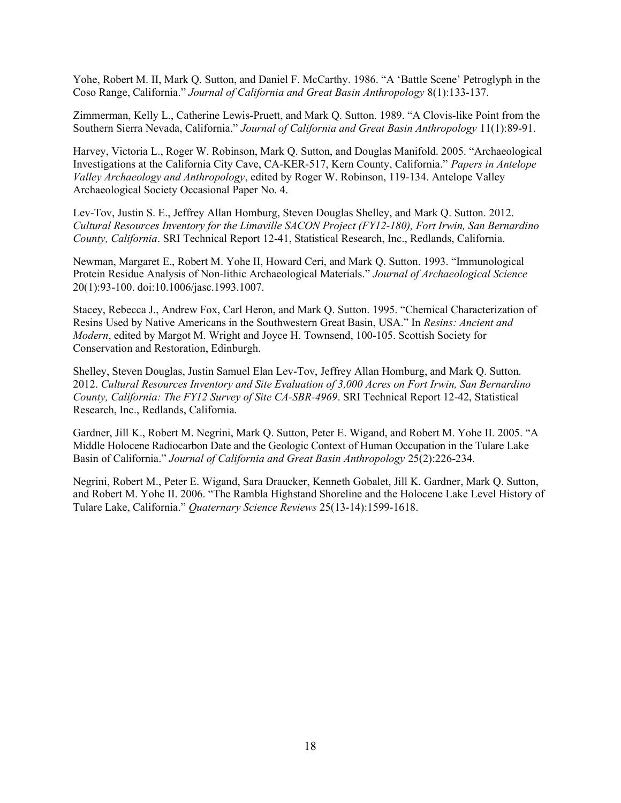Yohe, Robert M. II, Mark Q. Sutton, and Daniel F. McCarthy. 1986. "A 'Battle Scene' Petroglyph in the Coso Range, California." Journal of California and Great Basin Anthropology 8(1):133-137.

Zimmerman, Kelly L., Catherine Lewis-Pruett, and Mark Q. Sutton. 1989. "A Clovis-like Point from the Southern Sierra Nevada, California." Journal of California and Great Basin Anthropology 11(1):89-91.

Harvey, Victoria L., Roger W. Robinson, Mark Q. Sutton, and Douglas Manifold. 2005. "Archaeological Investigations at the California City Cave, CA-KER-517, Kern County, California." Papers in Antelope Valley Archaeology and Anthropology, edited by Roger W. Robinson, 119-134. Antelope Valley Archaeological Society Occasional Paper No. 4.

Lev-Tov, Justin S. E., Jeffrey Allan Homburg, Steven Douglas Shelley, and Mark Q. Sutton. 2012. Cultural Resources Inventory for the Limaville SACON Project (FY12-180), Fort Irwin, San Bernardino County, California. SRI Technical Report 12-41, Statistical Research, Inc., Redlands, California.

Newman, Margaret E., Robert M. Yohe II, Howard Ceri, and Mark Q. Sutton. 1993. "Immunological Protein Residue Analysis of Non-lithic Archaeological Materials." Journal of Archaeological Science 20(1):93-100. doi:10.1006/jasc.1993.1007.

Stacey, Rebecca J., Andrew Fox, Carl Heron, and Mark Q. Sutton. 1995. "Chemical Characterization of Resins Used by Native Americans in the Southwestern Great Basin, USA." In Resins: Ancient and Modern, edited by Margot M. Wright and Joyce H. Townsend, 100-105. Scottish Society for Conservation and Restoration, Edinburgh.

Shelley, Steven Douglas, Justin Samuel Elan Lev-Tov, Jeffrey Allan Homburg, and Mark Q. Sutton. 2012. Cultural Resources Inventory and Site Evaluation of 3,000 Acres on Fort Irwin, San Bernardino County, California: The FY12 Survey of Site CA-SBR-4969. SRI Technical Report 12-42, Statistical Research, Inc., Redlands, California.

Gardner, Jill K., Robert M. Negrini, Mark Q. Sutton, Peter E. Wigand, and Robert M. Yohe II. 2005. "A Middle Holocene Radiocarbon Date and the Geologic Context of Human Occupation in the Tulare Lake Basin of California." Journal of California and Great Basin Anthropology 25(2):226-234.

Negrini, Robert M., Peter E. Wigand, Sara Draucker, Kenneth Gobalet, Jill K. Gardner, Mark Q. Sutton, and Robert M. Yohe II. 2006. "The Rambla Highstand Shoreline and the Holocene Lake Level History of Tulare Lake, California." Quaternary Science Reviews 25(13-14):1599-1618.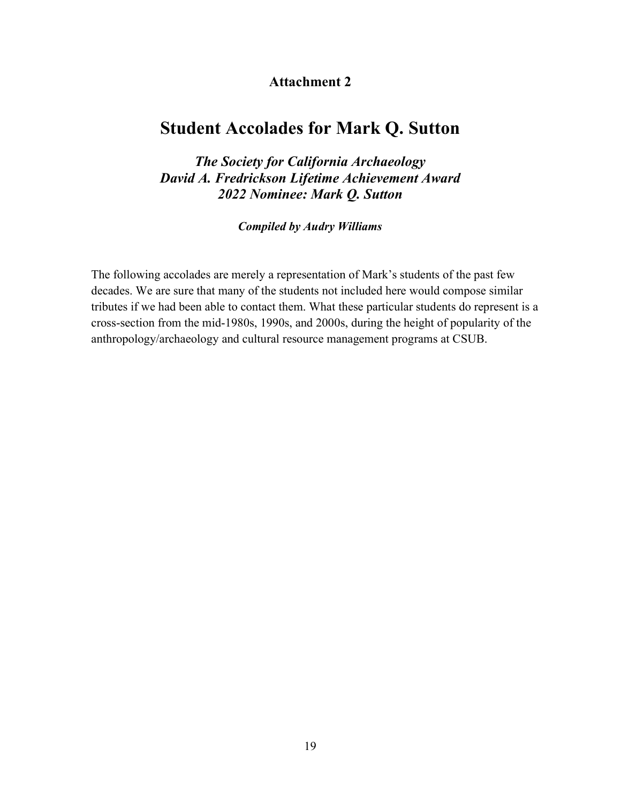## Attachment 2

# Student Accolades for Mark Q. Sutton

The Society for California Archaeology David A. Fredrickson Lifetime Achievement Award 2022 Nominee: Mark Q. Sutton

Compiled by Audry Williams

The following accolades are merely a representation of Mark's students of the past few decades. We are sure that many of the students not included here would compose similar tributes if we had been able to contact them. What these particular students do represent is a cross-section from the mid-1980s, 1990s, and 2000s, during the height of popularity of the anthropology/archaeology and cultural resource management programs at CSUB.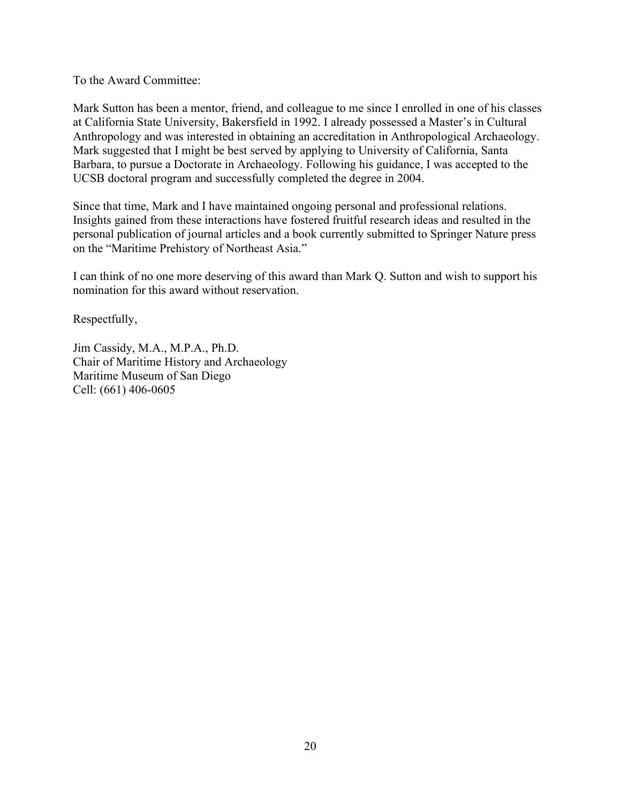To the Award Committee:

Mark Sutton has been a mentor, friend, and colleague to me since I enrolled in one of his classes at California State University, Bakersfield in 1992. I already possessed a Master's in Cultural Anthropology and was interested in obtaining an accreditation in Anthropological Archaeology. Mark suggested that I might be best served by applying to University of California, Santa Barbara, to pursue a Doctorate in Archaeology. Following his guidance, I was accepted to the UCSB doctoral program and successfully completed the degree in 2004.

Since that time, Mark and I have maintained ongoing personal and professional relations. Insights gained from these interactions have fostered fruitful research ideas and resulted in the personal publication of journal articles and a book currently submitted to Springer Nature press on the "Maritime Prehistory of Northeast Asia."

I can think of no one more deserving of this award than Mark Q. Sutton and wish to support his nomination for this award without reservation.

Respectfully,

Jim Cassidy, M.A., M.P.A., Ph.D. Chair of Maritime History and Archaeology Maritime Museum of San Diego Cell: (661) 406-0605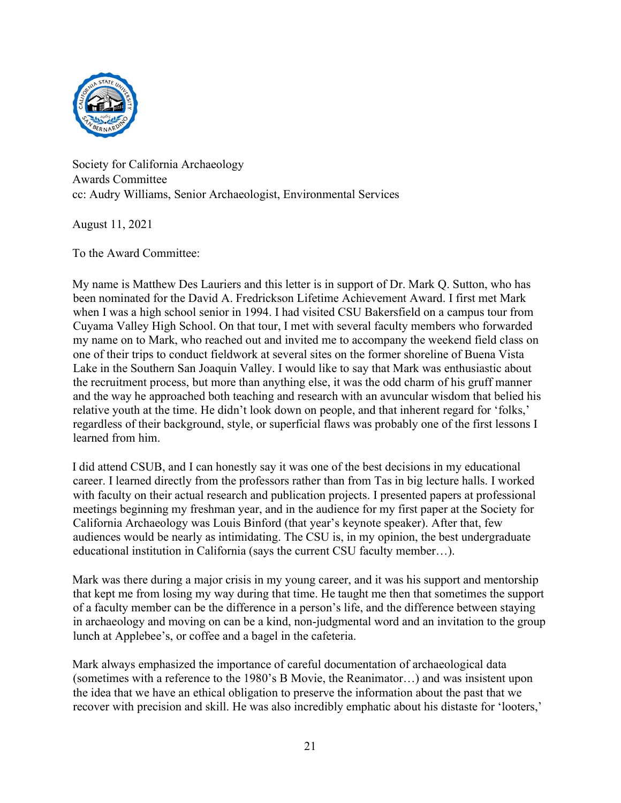

Society for California Archaeology Awards Committee cc: Audry Williams, Senior Archaeologist, Environmental Services

August 11, 2021

To the Award Committee:

My name is Matthew Des Lauriers and this letter is in support of Dr. Mark Q. Sutton, who has been nominated for the David A. Fredrickson Lifetime Achievement Award. I first met Mark when I was a high school senior in 1994. I had visited CSU Bakersfield on a campus tour from Cuyama Valley High School. On that tour, I met with several faculty members who forwarded my name on to Mark, who reached out and invited me to accompany the weekend field class on one of their trips to conduct fieldwork at several sites on the former shoreline of Buena Vista Lake in the Southern San Joaquin Valley. I would like to say that Mark was enthusiastic about the recruitment process, but more than anything else, it was the odd charm of his gruff manner and the way he approached both teaching and research with an avuncular wisdom that belied his relative youth at the time. He didn't look down on people, and that inherent regard for 'folks,' regardless of their background, style, or superficial flaws was probably one of the first lessons I learned from him.

I did attend CSUB, and I can honestly say it was one of the best decisions in my educational career. I learned directly from the professors rather than from Tas in big lecture halls. I worked with faculty on their actual research and publication projects. I presented papers at professional meetings beginning my freshman year, and in the audience for my first paper at the Society for California Archaeology was Louis Binford (that year's keynote speaker). After that, few audiences would be nearly as intimidating. The CSU is, in my opinion, the best undergraduate educational institution in California (says the current CSU faculty member…).

Mark was there during a major crisis in my young career, and it was his support and mentorship that kept me from losing my way during that time. He taught me then that sometimes the support of a faculty member can be the difference in a person's life, and the difference between staying in archaeology and moving on can be a kind, non-judgmental word and an invitation to the group lunch at Applebee's, or coffee and a bagel in the cafeteria.

Mark always emphasized the importance of careful documentation of archaeological data (sometimes with a reference to the 1980's B Movie, the Reanimator…) and was insistent upon the idea that we have an ethical obligation to preserve the information about the past that we recover with precision and skill. He was also incredibly emphatic about his distaste for 'looters,'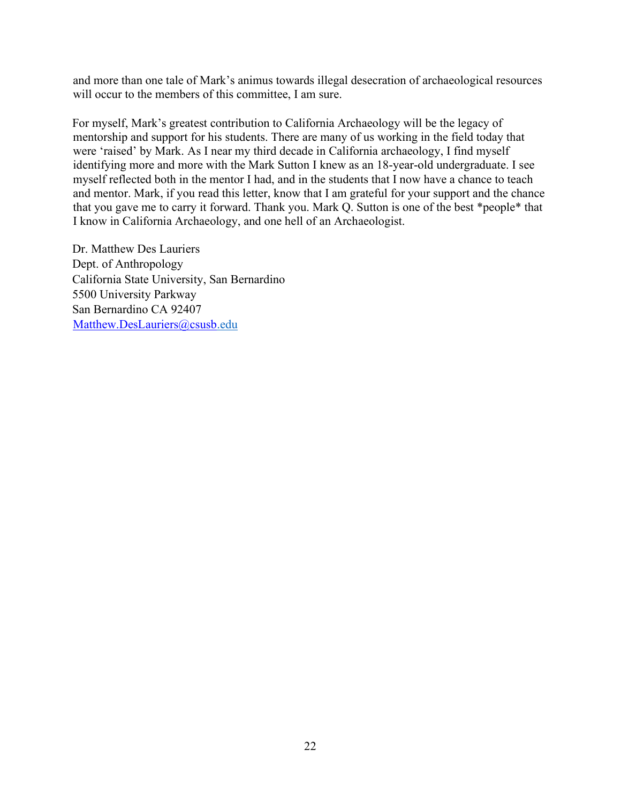and more than one tale of Mark's animus towards illegal desecration of archaeological resources will occur to the members of this committee, I am sure.

For myself, Mark's greatest contribution to California Archaeology will be the legacy of mentorship and support for his students. There are many of us working in the field today that were 'raised' by Mark. As I near my third decade in California archaeology, I find myself identifying more and more with the Mark Sutton I knew as an 18-year-old undergraduate. I see myself reflected both in the mentor I had, and in the students that I now have a chance to teach and mentor. Mark, if you read this letter, know that I am grateful for your support and the chance that you gave me to carry it forward. Thank you. Mark Q. Sutton is one of the best \*people\* that I know in California Archaeology, and one hell of an Archaeologist.

Dr. Matthew Des Lauriers Dept. of Anthropology California State University, San Bernardino 5500 University Parkway San Bernardino CA 92407 Matthew.DesLauriers@csusb.edu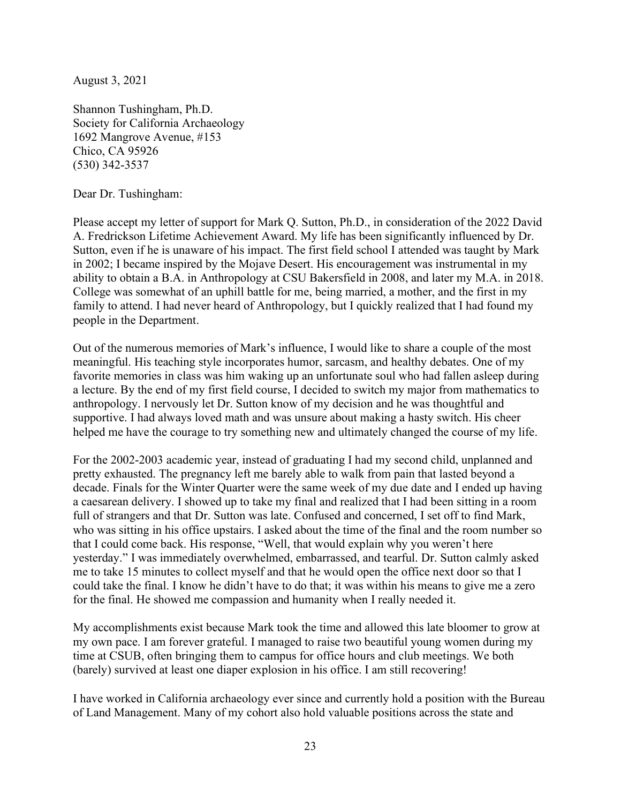August 3, 2021

Shannon Tushingham, Ph.D. Society for California Archaeology 1692 Mangrove Avenue, #153 Chico, CA 95926 (530) 342-3537

Dear Dr. Tushingham:

Please accept my letter of support for Mark Q. Sutton, Ph.D., in consideration of the 2022 David A. Fredrickson Lifetime Achievement Award. My life has been significantly influenced by Dr. Sutton, even if he is unaware of his impact. The first field school I attended was taught by Mark in 2002; I became inspired by the Mojave Desert. His encouragement was instrumental in my ability to obtain a B.A. in Anthropology at CSU Bakersfield in 2008, and later my M.A. in 2018. College was somewhat of an uphill battle for me, being married, a mother, and the first in my family to attend. I had never heard of Anthropology, but I quickly realized that I had found my people in the Department.

Out of the numerous memories of Mark's influence, I would like to share a couple of the most meaningful. His teaching style incorporates humor, sarcasm, and healthy debates. One of my favorite memories in class was him waking up an unfortunate soul who had fallen asleep during a lecture. By the end of my first field course, I decided to switch my major from mathematics to anthropology. I nervously let Dr. Sutton know of my decision and he was thoughtful and supportive. I had always loved math and was unsure about making a hasty switch. His cheer helped me have the courage to try something new and ultimately changed the course of my life.

For the 2002-2003 academic year, instead of graduating I had my second child, unplanned and pretty exhausted. The pregnancy left me barely able to walk from pain that lasted beyond a decade. Finals for the Winter Quarter were the same week of my due date and I ended up having a caesarean delivery. I showed up to take my final and realized that I had been sitting in a room full of strangers and that Dr. Sutton was late. Confused and concerned, I set off to find Mark, who was sitting in his office upstairs. I asked about the time of the final and the room number so that I could come back. His response, "Well, that would explain why you weren't here yesterday." I was immediately overwhelmed, embarrassed, and tearful. Dr. Sutton calmly asked me to take 15 minutes to collect myself and that he would open the office next door so that I could take the final. I know he didn't have to do that; it was within his means to give me a zero for the final. He showed me compassion and humanity when I really needed it.

My accomplishments exist because Mark took the time and allowed this late bloomer to grow at my own pace. I am forever grateful. I managed to raise two beautiful young women during my time at CSUB, often bringing them to campus for office hours and club meetings. We both (barely) survived at least one diaper explosion in his office. I am still recovering!

I have worked in California archaeology ever since and currently hold a position with the Bureau of Land Management. Many of my cohort also hold valuable positions across the state and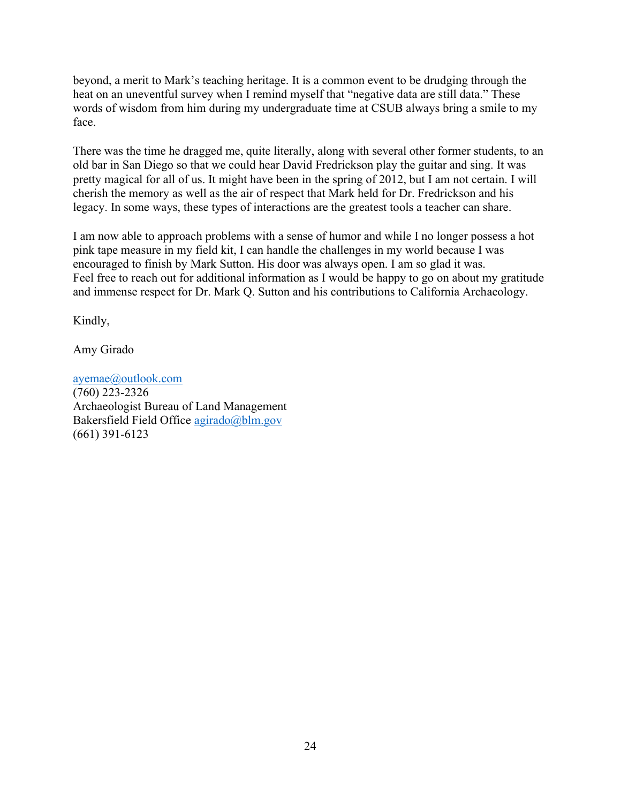beyond, a merit to Mark's teaching heritage. It is a common event to be drudging through the heat on an uneventful survey when I remind myself that "negative data are still data." These words of wisdom from him during my undergraduate time at CSUB always bring a smile to my face.

There was the time he dragged me, quite literally, along with several other former students, to an old bar in San Diego so that we could hear David Fredrickson play the guitar and sing. It was pretty magical for all of us. It might have been in the spring of 2012, but I am not certain. I will cherish the memory as well as the air of respect that Mark held for Dr. Fredrickson and his legacy. In some ways, these types of interactions are the greatest tools a teacher can share.

I am now able to approach problems with a sense of humor and while I no longer possess a hot pink tape measure in my field kit, I can handle the challenges in my world because I was encouraged to finish by Mark Sutton. His door was always open. I am so glad it was. Feel free to reach out for additional information as I would be happy to go on about my gratitude and immense respect for Dr. Mark Q. Sutton and his contributions to California Archaeology.

Kindly,

Amy Girado

ayemae@outlook.com (760) 223-2326 Archaeologist Bureau of Land Management Bakersfield Field Office agirado@blm.gov (661) 391-6123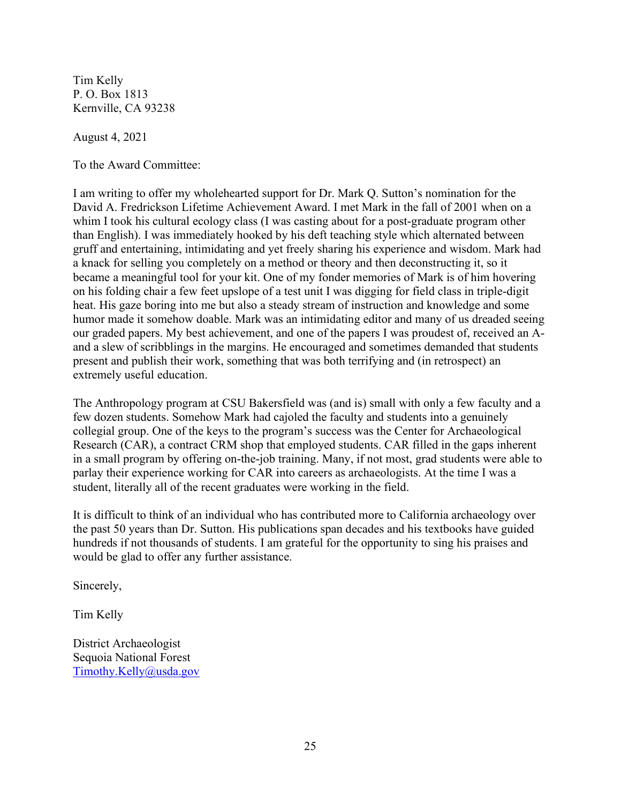Tim Kelly P. O. Box 1813 Kernville, CA 93238

August 4, 2021

To the Award Committee:

I am writing to offer my wholehearted support for Dr. Mark Q. Sutton's nomination for the David A. Fredrickson Lifetime Achievement Award. I met Mark in the fall of 2001 when on a whim I took his cultural ecology class (I was casting about for a post-graduate program other than English). I was immediately hooked by his deft teaching style which alternated between gruff and entertaining, intimidating and yet freely sharing his experience and wisdom. Mark had a knack for selling you completely on a method or theory and then deconstructing it, so it became a meaningful tool for your kit. One of my fonder memories of Mark is of him hovering on his folding chair a few feet upslope of a test unit I was digging for field class in triple-digit heat. His gaze boring into me but also a steady stream of instruction and knowledge and some humor made it somehow doable. Mark was an intimidating editor and many of us dreaded seeing our graded papers. My best achievement, and one of the papers I was proudest of, received an Aand a slew of scribblings in the margins. He encouraged and sometimes demanded that students present and publish their work, something that was both terrifying and (in retrospect) an extremely useful education.

The Anthropology program at CSU Bakersfield was (and is) small with only a few faculty and a few dozen students. Somehow Mark had cajoled the faculty and students into a genuinely collegial group. One of the keys to the program's success was the Center for Archaeological Research (CAR), a contract CRM shop that employed students. CAR filled in the gaps inherent in a small program by offering on-the-job training. Many, if not most, grad students were able to parlay their experience working for CAR into careers as archaeologists. At the time I was a student, literally all of the recent graduates were working in the field.

It is difficult to think of an individual who has contributed more to California archaeology over the past 50 years than Dr. Sutton. His publications span decades and his textbooks have guided hundreds if not thousands of students. I am grateful for the opportunity to sing his praises and would be glad to offer any further assistance.

Sincerely,

Tim Kelly

District Archaeologist Sequoia National Forest Timothy.Kelly@usda.gov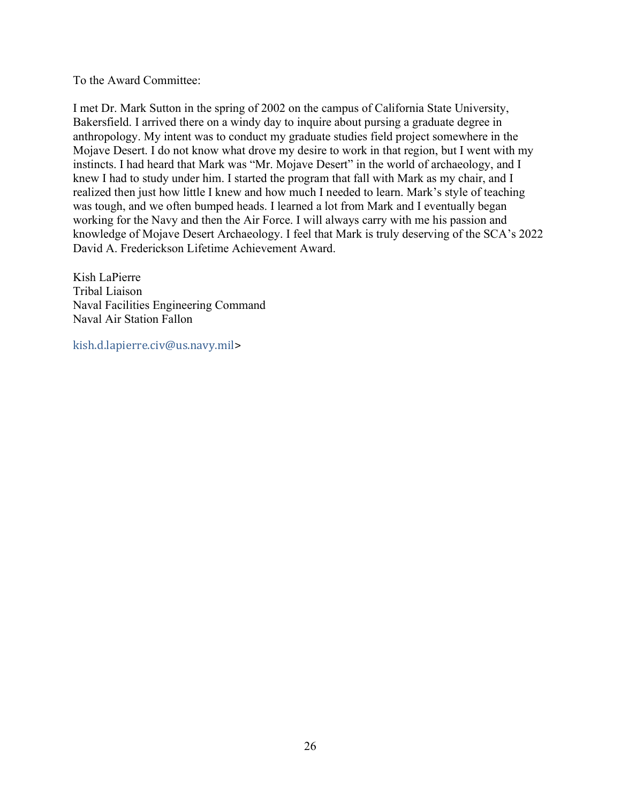To the Award Committee:

I met Dr. Mark Sutton in the spring of 2002 on the campus of California State University, Bakersfield. I arrived there on a windy day to inquire about pursing a graduate degree in anthropology. My intent was to conduct my graduate studies field project somewhere in the Mojave Desert. I do not know what drove my desire to work in that region, but I went with my instincts. I had heard that Mark was "Mr. Mojave Desert" in the world of archaeology, and I knew I had to study under him. I started the program that fall with Mark as my chair, and I realized then just how little I knew and how much I needed to learn. Mark's style of teaching was tough, and we often bumped heads. I learned a lot from Mark and I eventually began working for the Navy and then the Air Force. I will always carry with me his passion and knowledge of Mojave Desert Archaeology. I feel that Mark is truly deserving of the SCA's 2022 David A. Frederickson Lifetime Achievement Award.

Kish LaPierre Tribal Liaison Naval Facilities Engineering Command Naval Air Station Fallon

kish.d.lapierre.civ@us.navy.mil>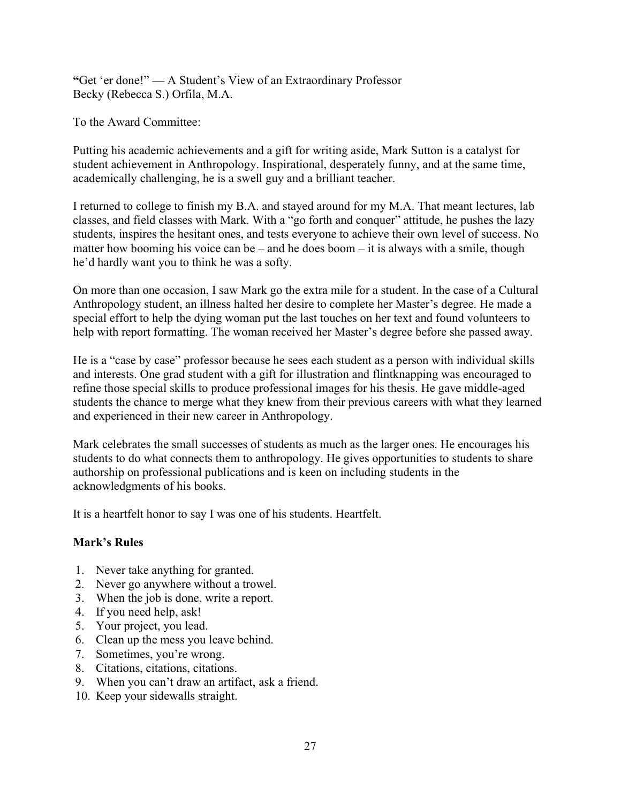"Get 'er done!" — A Student's View of an Extraordinary Professor Becky (Rebecca S.) Orfila, M.A.

To the Award Committee:

Putting his academic achievements and a gift for writing aside, Mark Sutton is a catalyst for student achievement in Anthropology. Inspirational, desperately funny, and at the same time, academically challenging, he is a swell guy and a brilliant teacher.

I returned to college to finish my B.A. and stayed around for my M.A. That meant lectures, lab classes, and field classes with Mark. With a "go forth and conquer" attitude, he pushes the lazy students, inspires the hesitant ones, and tests everyone to achieve their own level of success. No matter how booming his voice can be – and he does boom – it is always with a smile, though he'd hardly want you to think he was a softy.

On more than one occasion, I saw Mark go the extra mile for a student. In the case of a Cultural Anthropology student, an illness halted her desire to complete her Master's degree. He made a special effort to help the dying woman put the last touches on her text and found volunteers to help with report formatting. The woman received her Master's degree before she passed away.

He is a "case by case" professor because he sees each student as a person with individual skills and interests. One grad student with a gift for illustration and flintknapping was encouraged to refine those special skills to produce professional images for his thesis. He gave middle-aged students the chance to merge what they knew from their previous careers with what they learned and experienced in their new career in Anthropology.

Mark celebrates the small successes of students as much as the larger ones. He encourages his students to do what connects them to anthropology. He gives opportunities to students to share authorship on professional publications and is keen on including students in the acknowledgments of his books.

It is a heartfelt honor to say I was one of his students. Heartfelt.

## Mark's Rules

- 1. Never take anything for granted.
- 2. Never go anywhere without a trowel.
- 3. When the job is done, write a report.
- 4. If you need help, ask!
- 5. Your project, you lead.
- 6. Clean up the mess you leave behind.
- 7. Sometimes, you're wrong.
- 8. Citations, citations, citations.
- 9. When you can't draw an artifact, ask a friend.
- 10. Keep your sidewalls straight.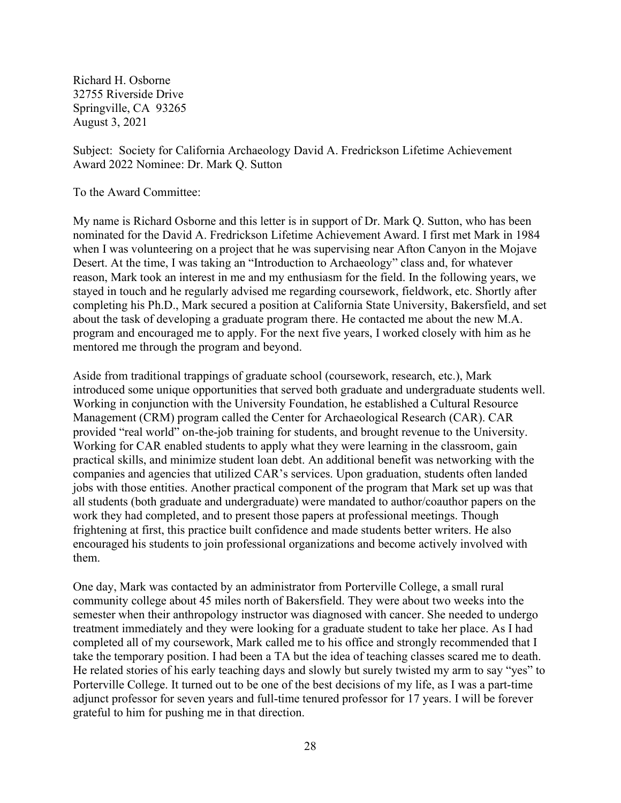Richard H. Osborne 32755 Riverside Drive Springville, CA 93265 August 3, 2021

Subject: Society for California Archaeology David A. Fredrickson Lifetime Achievement Award 2022 Nominee: Dr. Mark Q. Sutton

To the Award Committee:

My name is Richard Osborne and this letter is in support of Dr. Mark Q. Sutton, who has been nominated for the David A. Fredrickson Lifetime Achievement Award. I first met Mark in 1984 when I was volunteering on a project that he was supervising near Afton Canyon in the Mojave Desert. At the time, I was taking an "Introduction to Archaeology" class and, for whatever reason, Mark took an interest in me and my enthusiasm for the field. In the following years, we stayed in touch and he regularly advised me regarding coursework, fieldwork, etc. Shortly after completing his Ph.D., Mark secured a position at California State University, Bakersfield, and set about the task of developing a graduate program there. He contacted me about the new M.A. program and encouraged me to apply. For the next five years, I worked closely with him as he mentored me through the program and beyond.

Aside from traditional trappings of graduate school (coursework, research, etc.), Mark introduced some unique opportunities that served both graduate and undergraduate students well. Working in conjunction with the University Foundation, he established a Cultural Resource Management (CRM) program called the Center for Archaeological Research (CAR). CAR provided "real world" on-the-job training for students, and brought revenue to the University. Working for CAR enabled students to apply what they were learning in the classroom, gain practical skills, and minimize student loan debt. An additional benefit was networking with the companies and agencies that utilized CAR's services. Upon graduation, students often landed jobs with those entities. Another practical component of the program that Mark set up was that all students (both graduate and undergraduate) were mandated to author/coauthor papers on the work they had completed, and to present those papers at professional meetings. Though frightening at first, this practice built confidence and made students better writers. He also encouraged his students to join professional organizations and become actively involved with them.

One day, Mark was contacted by an administrator from Porterville College, a small rural community college about 45 miles north of Bakersfield. They were about two weeks into the semester when their anthropology instructor was diagnosed with cancer. She needed to undergo treatment immediately and they were looking for a graduate student to take her place. As I had completed all of my coursework, Mark called me to his office and strongly recommended that I take the temporary position. I had been a TA but the idea of teaching classes scared me to death. He related stories of his early teaching days and slowly but surely twisted my arm to say "yes" to Porterville College. It turned out to be one of the best decisions of my life, as I was a part-time adjunct professor for seven years and full-time tenured professor for 17 years. I will be forever grateful to him for pushing me in that direction.